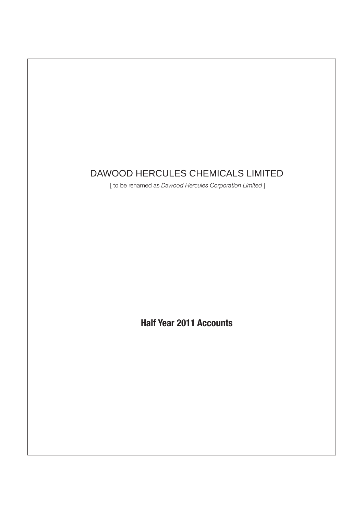### DAWOOD HERCULES CHEMICALS LIMITED

[ to be renamed as *Dawood Hercules Corporation Limited* ]

**Half Year 2011 Accounts**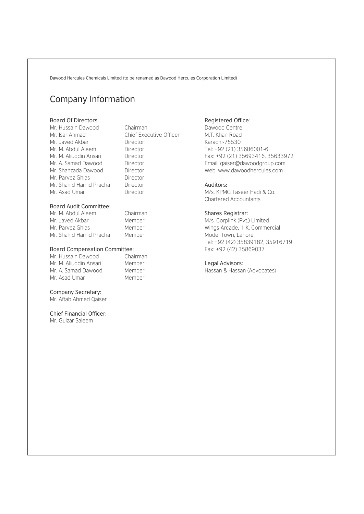### Company Information

#### Board Of Directors:

Mr. Hussain Dawood Chairman Mr. Isar Ahmad Chief Executive Officer Mr. Javed Akbar Director Mr. M. Abdul Aleem Director Mr. M. Aliuddin Ansari Director Mr. A. Samad Dawood Director Mr. Shahzada Dawood Director Mr. Parvez Ghias **Director** Mr. Shahid Hamid Pracha Director Mr. Asad Umar Director

#### Board Audit Committee:

| Mr. M. Abdul Aleem      | Chairman |
|-------------------------|----------|
| Mr. Javed Akbar         | Member   |
| Mr. Parvez Ghias        | Member   |
| Mr. Shahid Hamid Pracha | Member   |

#### Board Compensation Committee:

| Mr. Hussain Dawood     | Chairman |
|------------------------|----------|
| Mr. M. Aliuddin Ansari | Member   |
| Mr. A. Samad Dawood    | Member   |
| Mr. Asad Umar          | Member   |

#### Company Secretary:

Mr. Aftab Ahmed Qaiser

#### Chief Financial Officer:

Mr. Gulzar Saleem

#### Registered Office:

Dawood Centre M.T. Khan Road Karachi-75530 Tel: +92 (21) 35686001-6 Fax: +92 (21) 35693416, 35633972 Email: qaiser@dawoodgroup.com Web: www.dawoodhercules.com

#### Auditors:

M/s. KPMG Taseer Hadi & Co. Chartered Accountants

#### Shares Registrar:

M/s. Corplink (Pvt.) Limited Wings Arcade, 1-K, Commercial Model Town, Lahore Tel: +92 (42) 35839182, 35916719 Fax: +92 (42) 35869037

#### Legal Advisors:

Hassan & Hassan (Advocates)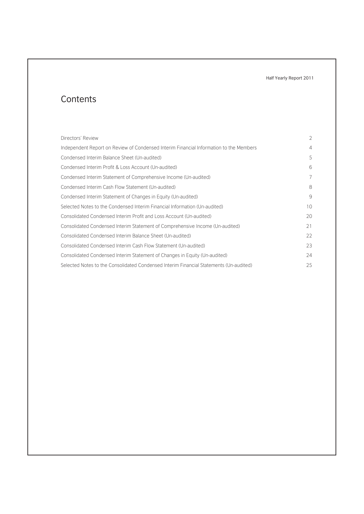### **Contents**

| Directors' Review                                                                      | 2              |
|----------------------------------------------------------------------------------------|----------------|
| Independent Report on Review of Condensed Interim Financial Information to the Members | 4              |
| Condensed Interim Balance Sheet (Un-audited)                                           | .5             |
| Condensed Interim Profit & Loss Account (Un-audited)                                   | 6              |
| Condensed Interim Statement of Comprehensive Income (Un-audited)                       | $\overline{7}$ |
| Condensed Interim Cash Flow Statement (Un-audited)                                     | 8              |
| Condensed Interim Statement of Changes in Equity (Un-audited)                          | 9              |
| Selected Notes to the Condensed Interim Financial Information (Un-audited)             | 10             |
| Consolidated Condensed Interim Profit and Loss Account (Un-audited)                    | 20             |
| Consolidated Condensed Interim Statement of Comprehensive Income (Un-audited)          | 21             |
| Consolidated Condensed Interim Balance Sheet (Un-audited)                              | 22             |
| Consolidated Condensed Interim Cash Flow Statement (Un-audited)                        | 23             |
| Consolidated Condensed Interim Statement of Changes in Equity (Un-audited)             | 24             |
| Selected Notes to the Consolidated Condensed Interim Financial Statements (Un-audited) | 25             |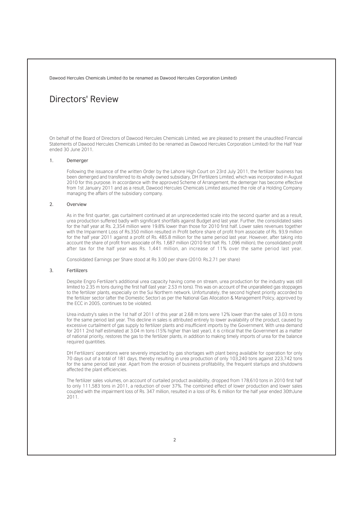### Directors' Review

On behalf of the Board of Directors of Dawood Hercules Chemicals Limited, we are pleased to present the unaudited Financial Statements of Dawood Hercules Chemicals Limited (to be renamed as Dawood Hercules Corporation Limited) for the Half Year ended 30 June 2011.

#### 1. Demerger

Following the issuance of the written Order by the Lahore High Court on 23rd July 2011, the fertilizer business has been demerged and transferred to its wholly owned subsidiary, DH Fertilizers Limited, which was incorporated in August 2010 for this purpose. In accordance with the approved Scheme of Arrangement, the demerger has become effective from 1st January 2011 and as a result, Dawood Hercules Chemicals Limited assumed the role of a Holding Company managing the affairs of the subsidiary company.

#### 2. Overview

As in the first quarter, gas curtailment continued at an unprecedented scale into the second quarter and as a result, urea production suffered badly with significant shortfalls against Budget and last year. Further, the consolidated sales for the half year at Rs. 2,354 million were 19.8% lower than those for 2010 first half. Lower sales revenues together with the Impairment Loss of Rs.350 million resulted in Profit before share of profit from associate of Rs. 93.9 million for the half year 2011 against a profit of Rs. 485.8 million for the same period last year. However, after taking into account the share of profit from associate of Rs. 1,687 million (2010 first half: Rs. 1,096 million), the consolidated profit after tax for the half year was Rs. 1,441 million, an increase of 11% over the same period last year.

Consolidated Earnings per Share stood at Rs 3.00 per share (2010: Rs.2.71 per share)

#### 3. Fertilizers

Despite Engro Fertilizer's additional urea capacity having come on stream, urea production for the industry was still limited to 2.35 m tons during the first half (last year: 2.53 m tons). This was on account of the unparalleled gas stoppages to the fertilizer plants, especially on the Sui Northern network. Unfortunately, the second highest priority accorded to the fertilizer sector (after the Domestic Sector) as per the National Gas Allocation & Management Policy, approved by the ECC in 2005, continues to be violated.

Urea industry's sales in the 1st half of 2011 of this year at 2.68 m tons were 12% lower than the sales of 3.03 m tons for the same period last year. This decline in sales is attributed entirely to lower availability of the product, caused by excessive curtailment of gas supply to fertilizer plants and insufficient imports by the Government. With urea demand for 2011 2nd half estimated at 3.04 m tons (15% higher than last year), it is critical that the Government as a matter of national priority, restores the gas to the fertilizer plants, in addition to making timely imports of urea for the balance required quantities.

DH Fertilizers' operations were severely impacted by gas shortages with plant being available for operation for only 70 days out of a total of 181 days, thereby resulting in urea production of only 103,240 tons against 223,742 tons for the same period last year. Apart from the erosion of business profitability, the frequent startups and shutdowns affected the plant efficiencies.

The fertilizer sales volumes, on account of curtailed product availability, dropped from 178,610 tons in 2010 first half to only 111,583 tons in 2011, a reduction of over 37%. The combined effect of lower production and lower sales coupled with the impairment loss of Rs. 347 million, resulted in a loss of Rs. 6 million for the half year ended 30thJune 2011.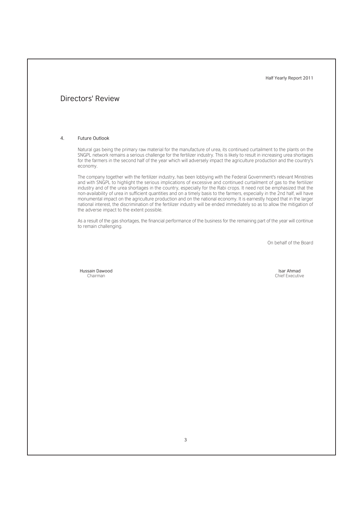### Directors' Review

#### 4. Future Outlook

Natural gas being the primary raw material for the manufacture of urea, its continued curtailment to the plants on the SNGPL network remains a serious challenge for the fertilizer industry. This is likely to result in increasing urea shortages for the farmers in the second half of the year which will adversely impact the agriculture production and the country's economy.

The company together with the fertilizer industry, has been lobbying with the Federal Government's relevant Ministries and with SNGPL to highlight the serious implications of excessive and continued curtailment of gas to the fertilizer industry and of the urea shortages in the country, especially for the Rabi crops. It need not be emphasized that the non-availability of urea in sufficient quantities and on a timely basis to the farmers, especially in the 2nd half, will have monumental impact on the agriculture production and on the national economy. It is earnestly hoped that in the larger national interest, the discrimination of the fertilizer industry will be ended immediately so as to allow the mitigation of the adverse impact to the extent possible.

As a result of the gas shortages, the financial performance of the business for the remaining part of the year will continue to remain challenging.

On behalf of the Board

Hussain Dawood Chairman

Isar Ahmad Chief Executive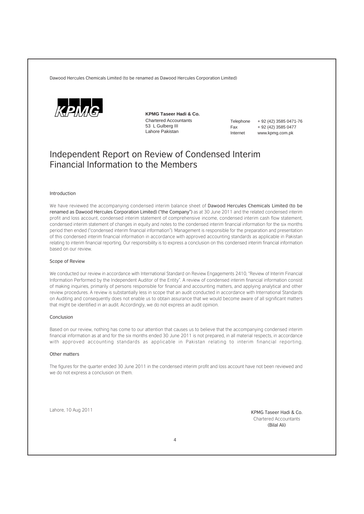

**KPMG Taseer Hadi & Co.** Chartered Accountants 53 L Gulberg III Lahore Pakistan

Telephone + 92 (42) 3585 0471-76 Fax + 92 (42) 3585 0477 Internet www.kpmg.com.pk

### Independent Report on Review of Condensed Interim Financial Information to the Members

#### Introduction

We have reviewed the accompanying condensed interim balance sheet of Dawood Hercules Chemicals Limited (to be renamed as Dawood Hercules Corporation Limited) ("the Company") as at 30 June 2011 and the related condensed interim profit and loss account, condensed interim statement of comprehensive income, condensed interim cash flow statement, condensed interim statement of changes in equity and notes to the condensed interim financial information for the six months period then ended ("condensed interim financial information"). Management is responsible for the preparation and presentation of this condensed interim financial information in accordance with approved accounting standards as applicable in Pakistan relating to interim financial reporting. Our responsibility is to express a conclusion on this condensed interim financial information based on our review.

#### Scope of Review

We conducted our review in accordance with International Standard on Review Engagements 2410, "Review of Interim Financial Information Performed by the Independent Auditor of the Entity". A review of condensed interim financial information consist of making inquiries, primarily of persons responsible for financial and accounting matters, and applying analytical and other review procedures. A review is substantially less in scope that an audit conducted in accordance with International Standards on Auditing and consequently does not enable us to obtain assurance that we would become aware of all significant matters that might be identified in an audit. Accordingly, we do not express an audit opinion.

#### Conclusion

Based on our review, nothing has come to our attention that causes us to believe that the accompanying condensed interim financial information as at and for the six months ended 30 June 2011 is not prepared, in all material respects, in accordance with approved accounting standards as applicable in Pakistan relating to interim financial reporting.

#### Other matters

The figures for the quarter ended 30 June 2011 in the condensed interim profit and loss account have not been reviewed and we do not express a conclusion on them.

Lahore, 10 Aug 2011

Chartered Accountants (Bilal Ali)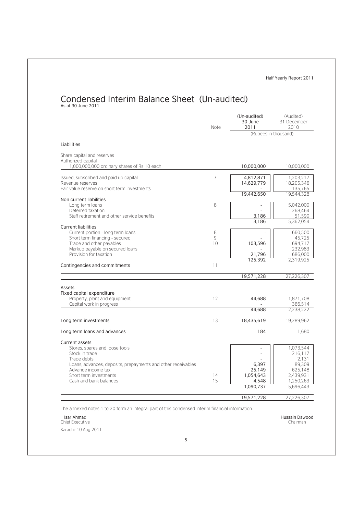# Condensed Interim Balance Sheet (Un-audited)<br>As at 30 June 2011

|                                                                                                                                                                                                                                    | Note         | (Un-audited)<br>30 June<br>2011<br>(Rupees in thousand) | (Audited)<br>31 December<br>2010                                                          |
|------------------------------------------------------------------------------------------------------------------------------------------------------------------------------------------------------------------------------------|--------------|---------------------------------------------------------|-------------------------------------------------------------------------------------------|
| Liabilities                                                                                                                                                                                                                        |              |                                                         |                                                                                           |
| Share capital and reserves<br>Authorized capital                                                                                                                                                                                   |              |                                                         |                                                                                           |
| 1,000,000,000 ordinary shares of Rs 10 each                                                                                                                                                                                        |              | 10,000,000                                              | 10,000,000                                                                                |
| Issued, subscribed and paid up capital<br>Revenue reserves<br>Fair value reserve on short term investments                                                                                                                         | 7            | 4,812,871<br>14,629,779<br>19,442,650                   | 1,203,217<br>18,205,346<br>135,765<br>19,544,328                                          |
| Non current liabilities<br>Long term loans<br>Deferred taxation<br>Staff retirement and other service benefits                                                                                                                     | 8            | 3,186                                                   | 5,042,000<br>268,464<br>51,590                                                            |
| <b>Current liabilities</b><br>Current portion - long term loans<br>Short term financing - secured<br>Trade and other payables<br>Markup payable on secured loans                                                                   | 8<br>9<br>10 | 3,186<br>103,596                                        | 5,362,054<br>660,500<br>45.725<br>694.717<br>232,983                                      |
| Provision for taxation<br>Contingencies and commitments                                                                                                                                                                            | 11           | 21,796<br>125,392                                       | 686,000<br>2.319.925                                                                      |
|                                                                                                                                                                                                                                    |              | 19,571,228                                              | 27,226,307                                                                                |
| Assets<br>Fixed capital expenditure<br>Property, plant and equipment<br>Capital work in progress                                                                                                                                   | 12           | 44,688                                                  | 1,871,708<br>366.514                                                                      |
|                                                                                                                                                                                                                                    |              | 44.688                                                  | 2.238.222                                                                                 |
| Long term investments                                                                                                                                                                                                              | 13           | 18,435,619                                              | 19,289,962                                                                                |
| Long term loans and advances                                                                                                                                                                                                       |              | 184                                                     | 1.680                                                                                     |
| <b>Current assets</b><br>Stores, spares and loose tools<br>Stock in trade<br>Trade debts<br>Loans, advances, deposits, prepayments and other receivables<br>Advance income tax<br>Short term investments<br>Cash and bank balances | 14<br>15     | 6,397<br>25,149<br>1,054,643<br>4,548<br>1,090,737      | 1,073,544<br>216.117<br>2.131<br>89.309<br>625,148<br>2.439.931<br>1,250,263<br>5,696,443 |
|                                                                                                                                                                                                                                    |              | 19,571,228                                              | 27,226,307                                                                                |

The annexed notes 1 to 20 form an integral part of this condensed interim financial information.

Isar Ahmad Chief Executive

Karachi: 10 Aug 2011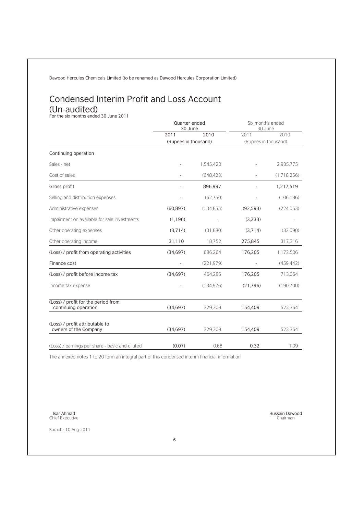### Condensed Interim Profit and Loss Account (Un-audited)<br>For the six months ended 30 June 2011

|                                                                                    | Quarter ended<br>30 June |            | Six months ended<br>30 June |             |  |
|------------------------------------------------------------------------------------|--------------------------|------------|-----------------------------|-------------|--|
|                                                                                    | 2011                     | 2010       | 2011                        | 2010        |  |
|                                                                                    | (Rupees in thousand)     |            | (Rupees in thousand)        |             |  |
| Continuing operation                                                               |                          |            |                             |             |  |
| Sales - net                                                                        |                          | 1,545,420  |                             | 2.935,775   |  |
| Cost of sales                                                                      |                          | (648, 423) |                             | (1.718.256) |  |
| Gross profit                                                                       |                          | 896,997    |                             | 1,217,519   |  |
| Selling and distribution expenses                                                  |                          | (62.750)   |                             | (106.186)   |  |
| Administrative expenses                                                            | (60, 897)                | (134, 855) | (92, 593)                   | (224, 053)  |  |
| Impairment on available for sale investments                                       | (1, 196)                 |            | (3,333)                     |             |  |
| Other operating expenses                                                           | (3,714)                  | (31,880)   | (3,714)                     | (32,090)    |  |
| Other operating income                                                             | 31,110                   | 18,752     | 275,845                     | 317,316     |  |
| (Loss) / profit from operating activities                                          | (34, 697)                | 686,264    | 176,205                     | 1,172,506   |  |
| Finance cost                                                                       |                          | (221, 979) |                             | (459.442)   |  |
| (Loss) / profit before income tax                                                  | (34, 697)                | 464,285    | 176,205                     | 713,064     |  |
| Income tax expense                                                                 |                          | (134, 976) | (21,796)                    | (190, 700)  |  |
| (Loss) / profit for the period from<br>continuing operation                        | (34, 697)                | 329,309    | 154,409                     | 522.364     |  |
|                                                                                    |                          |            |                             |             |  |
| owners of the Company                                                              | (34, 697)                | 329,309    | 154,409                     | 522.364     |  |
|                                                                                    |                          |            |                             | 1.09        |  |
| (Loss) / profit attributable to<br>(Loss) / earnings per share - basic and diluted | (0.07)                   | 0.68       | 0.32                        |             |  |

The annexed notes 1 to 20 form an integral part of this condensed interim financial information.

Isar Ahmad Chief Executive

Karachi: 10 Aug 2011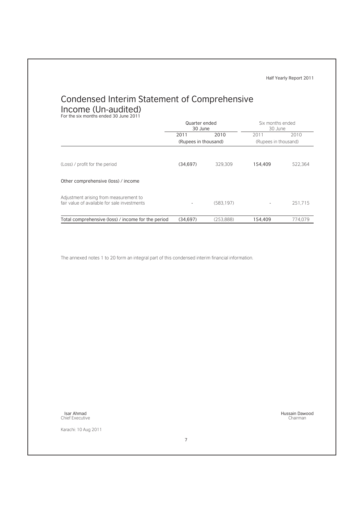## Condensed Interim Statement of Comprehensive Income (Un-audited)<br>For the six months ended 30 June 2011

|                                                                                        | Quarter ended<br>30 June |            | Six months ended<br>30 June |         |
|----------------------------------------------------------------------------------------|--------------------------|------------|-----------------------------|---------|
|                                                                                        | 2011                     | 2010       | 2011                        | 2010    |
|                                                                                        | (Rupees in thousand)     |            | (Rupees in thousand)        |         |
| (Loss) / profit for the period<br>Other comprehensive (loss) / income                  | (34,697)                 | 329.309    | 154,409                     | 522.364 |
| Adjustment arising from measurement to<br>fair value of available for sale investments |                          | (583, 197) |                             | 251.715 |
| Total comprehensive (loss) / income for the period                                     | (34.697)                 | (253.888)  | 154.409                     | 774.079 |

The annexed notes 1 to 20 form an integral part of this condensed interim financial information.

Isar Ahmad Chief Executive

Karachi: 10 Aug 2011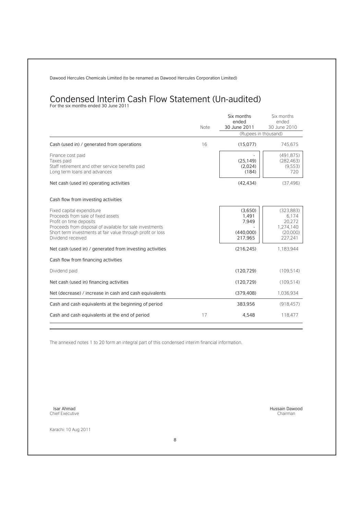# Condensed Interim Cash Flow Statement (Un-audited)<br>For the six months ended 30 June 2011

|                                                                                                                                                        |      | Six months<br>ended<br>30 June 2011 | Six months<br>ended<br>30 June 2010        |
|--------------------------------------------------------------------------------------------------------------------------------------------------------|------|-------------------------------------|--------------------------------------------|
|                                                                                                                                                        | Note | (Rupees in thousand)                |                                            |
| Cash (used in) / generated from operations                                                                                                             | 16   | (15,077)                            | 745,675                                    |
| Finance cost paid<br>Taxes paid<br>Staff retirement and other service benefits paid<br>Long term loans and advances                                    |      | (25, 149)<br>(2,024)<br>(184)       | (491.875)<br>(282, 463)<br>(9.553)<br>720  |
| Net cash (used in) operating activities                                                                                                                |      | (42, 434)                           | (37.496)                                   |
| Cash flow from investing activities                                                                                                                    |      |                                     |                                            |
| Fixed capital expenditure<br>Proceeds from sale of fixed assets<br>Profit on time deposits<br>Proceeds from disposal of available for sale investments |      | (3,650)<br>1,491<br>7,949           | (323, 883)<br>6.174<br>20.272<br>1.274.140 |
| Short term investments at fair value through profit or loss<br>Dividend received                                                                       |      | (440,000)<br>217,965                | (20,000)<br>227,241                        |
| Net cash (used in) / generated from investing activities                                                                                               |      | (216, 245)                          | 1.183.944                                  |
| Cash flow from financing activities                                                                                                                    |      |                                     |                                            |
| Dividend paid                                                                                                                                          |      | (120, 729)                          | (109.514)                                  |
| Net cash (used in) financing activities                                                                                                                |      | (120, 729)                          | (109.514)                                  |
| Net (decrease) / increase in cash and cash equivalents                                                                                                 |      | (379, 408)                          | 1.036.934                                  |
| Cash and cash equivalents at the beginning of period                                                                                                   |      | 383,956                             | (918.457)                                  |
| Cash and cash equivalents at the end of period                                                                                                         | 17   | 4,548                               | 118,477                                    |

The annexed notes 1 to 20 form an integral part of this condensed interim financial information.

Isar Ahmad Chief Executive

Karachi: 10 Aug 2011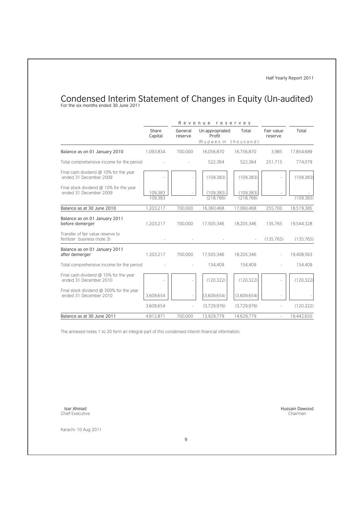# Condensed Interim Statement of Changes in Equity (Un-audited)<br>For the six months ended 30 June 2011

|                                                                    |                    |                    | Revenue reserves                                  |                         |                       |            |
|--------------------------------------------------------------------|--------------------|--------------------|---------------------------------------------------|-------------------------|-----------------------|------------|
|                                                                    | Share<br>Capital   | General<br>reserve | Un appropriated<br>Profit<br>(Rupees in thousand) | Total                   | Fair value<br>reserve | Total      |
| Balance as on 01 January 2010                                      | 1.093.834          | 700.000            | 16,056,870                                        | 16,756,870              | 3.985                 | 17,854,689 |
| Total comprehensive income for the period                          |                    |                    | 522.364                                           | 522,364                 | 251.715               | 774,079    |
| Final cash dividend @ 10% for the year<br>ended 31 December 2009   |                    |                    | (109, 383)                                        | (109, 383)              |                       | (109.383)  |
| Final stock dividend @ 10% for the year<br>ended 31 December 2009  | 109,383<br>109.383 |                    | (109, 383)<br>(218, 766)                          | (109, 383)<br>(218.766) |                       | (109.383)  |
| Balance as at 30 June 2010                                         | 1,203,217          | 700,000            | 16,360,468                                        | 17,060,468              | 255,700               | 18,519,385 |
| Balance as on 01 January 2011<br>before demerger                   | 1.203.217          | 700.000            | 17,505,346                                        | 18,205,346              | 135,765               | 19,544,328 |
| Transfer of fair value reserve to<br>fertilizer business (note 3)  |                    |                    |                                                   |                         | (135, 765)            | (135,765)  |
| Balance as on 01 January 2011<br>after demerger                    | 1.203.217          | 700,000            | 17,505,346                                        | 18,205,346              |                       | 19,408,563 |
| Total comprehensive income for the period                          |                    |                    | 154.409                                           | 154.409                 |                       | 154,409    |
| Final cash dividend @ 10% for the year<br>ended 31 December 2010   |                    |                    | (120.322)                                         | (120.322)               |                       | (120.322)  |
| Final stock dividend @ 300% for the year<br>ended 31 December 2010 | 3,609,654          |                    | (3,609,654)                                       | (3,609,654)             |                       |            |
|                                                                    | 3,609,654          |                    | (3.729.976)                                       | (3.729.976)             |                       | (120.322)  |
| Balance as at 30 June 2011                                         | 4.812.871          | 700.000            | 13,929,779                                        | 14.629.779              |                       | 19.442.650 |

The annexed notes 1 to 20 form an integral part of this condensed interim financial information.

Isar Ahmad Chief Executive

Karachi: 10 Aug 2011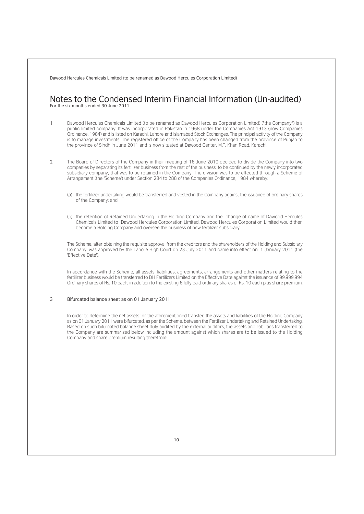#### Notes to the Condensed Interim Financial Information (Un-audited) For the six months ended 30 June 2011

1 Dawood Hercules Chemicals Limited (to be renamed as Dawood Hercules Corporation Limited) ("the Company") is a public limited company. It was incorporated in Pakistan in 1968 under the Companies Act 1913 (now Companies Ordinance, 1984) and is listed on Karachi, Lahore and Islamabad Stock Exchanges. The principal activity of the Company is to manage investments. The registered office of the Company has been changed from the province of Punjab to the province of Sindh in June 2011 and is now situated at Dawood Center, M.T. Khan Road, Karachi.

- 2 The Board of Directors of the Company in their meeting of 16 June 2010 decided to divide the Company into two companies by separating its fertilizer business from the rest of the business, to be continued by the newly incorporated subsidiary company, that was to be retained in the Company. The division was to be effected through a Scheme of Arrangement (the 'Scheme') under Section 284 to 288 of the Companies Ordinance, 1984 whereby:
	- (a) the fertilizer undertaking would be transferred and vested in the Company against the issuance of ordinary shares of the Company; and
	- (b) the retention of Retained Undertaking in the Holding Company and the change of name of Dawood Hercules Chemicals Limited to Dawood Hercules Corporation Limited. Dawood Hercules Corporation Limited would then become a Holding Company and oversee the business of new fertilizer subsidiary.

The Scheme, after obtaining the requisite approval from the creditors and the shareholders of the Holding and Subsidiary Company, was approved by the Lahore High Court on 23 July 2011 and came into effect on 1 January 2011 (the 'Effective Date').

In accordance with the Scheme, all assets, liabilities, agreements, arrangements and other matters relating to the fertilizer business would be transferred to DH Fertilizers Limited on the Effective Date against the issuance of 99,999,994 Ordinary shares of Rs. 10 each, in addition to the existing 6 fully paid ordinary shares of Rs. 10 each plus share premium.

#### 3 Bifurcated balance sheet as on 01 January 2011

In order to determine the net assets for the aforementioned transfer, the assets and liabilities of the Holding Company as on 01 January 2011 were bifurcated, as per the Scheme, between the Fertilizer Undertaking and Retained Undertaking. Based on such bifurcated balance sheet duly audited by the external auditors, the assets and liabilities transferred to the Company are summarized below including the amount against which shares are to be issued to the Holding Company and share premium resulting therefrom: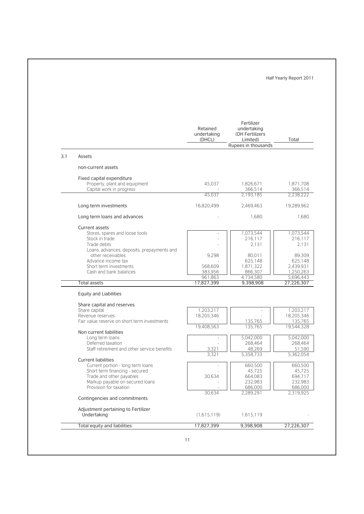|     |                                              | Retained<br>undertaking<br>(DHCL) | Fertilizer<br>undertaking<br>(DH Fertilizers<br>Limited) | Total      |
|-----|----------------------------------------------|-----------------------------------|----------------------------------------------------------|------------|
|     |                                              |                                   | Rupees in thousands                                      |            |
| 3.1 | Assets                                       |                                   |                                                          |            |
|     | non-current assets                           |                                   |                                                          |            |
|     | Fixed capital expenditure                    |                                   |                                                          |            |
|     | Property, plant and equipment                | 45,037                            | 1,826,671                                                | 1,871,708  |
|     | Capital work in progress                     |                                   | 366.514                                                  | 366,514    |
|     |                                              | 45,037                            | 2.193.185                                                | 2.238.222  |
|     | Long term investments                        | 16,820,499                        | 2,469,463                                                | 19,289,962 |
|     | Long term loans and advances                 |                                   | 1.680                                                    | 1,680      |
|     | <b>Current assets</b>                        |                                   |                                                          |            |
|     | Stores, spares and loose tools               |                                   | 1,073,544                                                | 1,073,544  |
|     | Stock in trade                               |                                   | 216.117                                                  | 216,117    |
|     | Trade debts                                  |                                   | 2.131                                                    | 2.131      |
|     | Loans, advances, deposits, prepayments and   |                                   |                                                          |            |
|     | other receivables                            | 9,298                             | 80,011                                                   | 89,309     |
|     | Advance income tax                           |                                   | 625,148                                                  | 625,148    |
|     | Short term investments                       | 568,609                           | 1,871,322                                                | 2.439.931  |
|     | Cash and bank balances                       | 383,956                           | 866,307                                                  | 1,250,263  |
|     | <b>Total assets</b>                          | 961,863<br>17,827,399             | 4,734,580<br>9,398,908                                   | 5,696,443  |
|     |                                              |                                   |                                                          | 27,226,307 |
|     | <b>Equity and Liabilities</b>                |                                   |                                                          |            |
|     | Share capital and reserves                   |                                   |                                                          |            |
|     | Share capital                                | 1.203.217                         |                                                          | 1,203,217  |
|     | Revenue reserves                             | 18,205,346                        |                                                          | 18,205,346 |
|     | Fair value reserve on short term investments | 19,408,563                        | 135,765<br>135,765                                       | 135,765    |
|     | Non current liabilities                      |                                   |                                                          | 19,544,328 |
|     | Long term loans                              |                                   | 5,042,000                                                | 5,042,000  |
|     | Deferred taxation                            |                                   | 268,464                                                  | 268,464    |
|     | Staff retirement and other service benefits  | 3,321                             | 48,269                                                   | 51,590     |
|     |                                              | 3,321                             | 5,358,733                                                | 5,362,054  |
|     | <b>Current liabilities</b>                   |                                   |                                                          |            |
|     | Current portion - long term loans            |                                   | 660,500                                                  | 660,500    |
|     | Short term financing - secured               |                                   | 45.725                                                   | 45.725     |
|     | Trade and other payables                     | 30,634                            | 664,083                                                  | 694,717    |
|     | Markup payable on secured loans              |                                   | 232,983                                                  | 232,983    |
|     | Provision for taxation                       |                                   | 686,000                                                  | 686,000    |
|     | Contingencies and commitments                | 30,634                            | 2,289,291                                                | 2,319,925  |
|     |                                              |                                   |                                                          |            |
|     | Adjustment pertaining to Fertilizer          |                                   |                                                          |            |
|     | Undertaking                                  | (1,615,119)                       | 1,615,119                                                |            |
|     |                                              |                                   |                                                          |            |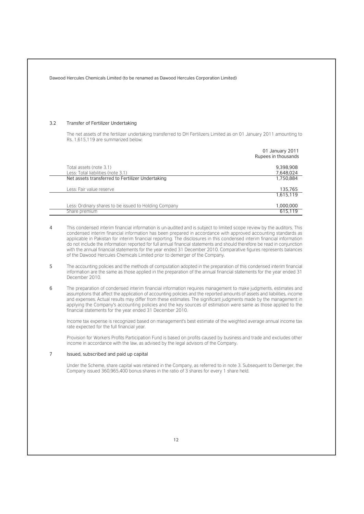| 3.2 | Transfer of Fertilizer Undertaking                                                                                                                                                                                                                                                                                                                                                                                                                                                                                                                                      |                                                                                                                         |
|-----|-------------------------------------------------------------------------------------------------------------------------------------------------------------------------------------------------------------------------------------------------------------------------------------------------------------------------------------------------------------------------------------------------------------------------------------------------------------------------------------------------------------------------------------------------------------------------|-------------------------------------------------------------------------------------------------------------------------|
|     | The net assets of the fertilizer undertaking transferred to DH Fertilizers Limited as on 01 January 2011 amounting to<br>Rs. 1.615.119 are summarized below:                                                                                                                                                                                                                                                                                                                                                                                                            |                                                                                                                         |
|     |                                                                                                                                                                                                                                                                                                                                                                                                                                                                                                                                                                         | 01 January 2011<br>Rupees in thousands                                                                                  |
|     | Total assets (note 3.1)                                                                                                                                                                                                                                                                                                                                                                                                                                                                                                                                                 | 9,398,908                                                                                                               |
|     | Less: Total liabilities (note 3.1)<br>Net assets transferred to Fertilizer Undertaking                                                                                                                                                                                                                                                                                                                                                                                                                                                                                  | 7,648,024<br>1,750,884                                                                                                  |
|     |                                                                                                                                                                                                                                                                                                                                                                                                                                                                                                                                                                         |                                                                                                                         |
|     | Less: Fair value reserve                                                                                                                                                                                                                                                                                                                                                                                                                                                                                                                                                | 135,765<br>1,615,119                                                                                                    |
|     | Less: Ordinary shares to be issued to Holding Company                                                                                                                                                                                                                                                                                                                                                                                                                                                                                                                   | 1,000,000                                                                                                               |
|     | Share premium                                                                                                                                                                                                                                                                                                                                                                                                                                                                                                                                                           | 615,119                                                                                                                 |
|     | condensed interim financial information has been prepared in accordance with approved accounting standards as<br>applicable in Pakistan for interim financial reporting. The disclosures in this condensed interim financial information<br>do not include the information reported for full annual financial statements and should therefore be read in conjunction<br>with the annual financial statements for the year ended 31 December 2010. Comparative figures represents balances<br>of the Dawood Hercules Chemicals Limited prior to demerger of the Company. | This condensed interim financial information is un-audited and is subject to limited scope review by the auditors. This |
| 5   | The accounting policies and the methods of computation adopted in the preparation of this condensed interim financial<br>information are the same as those applied in the preparation of the annual financial statements for the year ended 31<br>December 2010.                                                                                                                                                                                                                                                                                                        |                                                                                                                         |
| 6   | The preparation of condensed interim financial information requires management to make judgments, estimates and<br>assumptions that affect the application of accounting policies and the reported amounts of assets and liabilities, income<br>and expenses. Actual results may differ from these estimates. The significant judgments made by the management in<br>applying the Company's accounting policies and the key sources of estimation were same as those applied to the<br>financial statements for the year ended 31 December 2010.                        |                                                                                                                         |
|     | Income tax expense is recognized based on management's best estimate of the weighted average annual income tax<br>rate expected for the full financial year.                                                                                                                                                                                                                                                                                                                                                                                                            |                                                                                                                         |
|     | Provision for Workers Profits Participation Fund is based on profits caused by business and trade and excludes other<br>income in accordance with the law, as advised by the legal advisors of the Company.                                                                                                                                                                                                                                                                                                                                                             |                                                                                                                         |
| 7   | Issued, subscribed and paid up capital                                                                                                                                                                                                                                                                                                                                                                                                                                                                                                                                  |                                                                                                                         |
|     | Under the Scheme, share capital was retained in the Company, as referred to in note 3. Subsequent to Demerger, the<br>Company issued 360,965,400 bonus shares in the ratio of 3 shares for every 1 share held.                                                                                                                                                                                                                                                                                                                                                          |                                                                                                                         |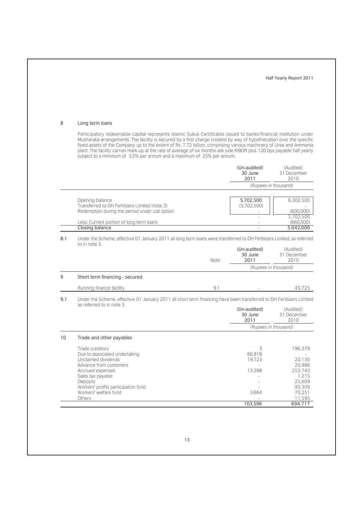#### 8 Long term loans

Participatory redeemable capital represents Islamic Sukuk Certificates issued to banks/financial institution under Musharaka arrangements. The facility is secured by a first charge created by way of hypothecation over the specific fixed assets of the Company up to the extent of Rs. 7.72 billion, comprising various machinery of Urea and Ammonia plant. The facility carries mark-up at the rate of average of six months ask side KIBOR plus 120 bps payable half yearly subject to a minimum of 3.5% per annum and a maximum of 25% per annum.

|     |                                                                                                                                                                                                                                  |      | (Un-audited)<br>30 June<br>2011          | (Audited)<br>31 December<br>2010                                                        |
|-----|----------------------------------------------------------------------------------------------------------------------------------------------------------------------------------------------------------------------------------|------|------------------------------------------|-----------------------------------------------------------------------------------------|
|     |                                                                                                                                                                                                                                  |      | (Rupees in thousand)                     |                                                                                         |
|     | Opening balance<br>Transferred to DH Fertilizers Limited (note 3)<br>Redemption during the period under call option                                                                                                              |      | 5,702,500<br>(5,702,500)                 | 6,302,500<br>(600,000)<br>5.702.500                                                     |
|     | Less: Current portion of long term loans                                                                                                                                                                                         |      |                                          | (660, 500)                                                                              |
|     | <b>Closing balance</b>                                                                                                                                                                                                           |      |                                          | 5,042,000                                                                               |
| 8.1 | Under the Scheme, effective 01 January 2011 all long term loans were transferred to DH Fertilizers Limited, as referred<br>to in note 3.                                                                                         |      | (Un-audited)<br>30 June                  | (Audited)<br>31 December                                                                |
|     |                                                                                                                                                                                                                                  | Note | 2011                                     | 2010                                                                                    |
|     |                                                                                                                                                                                                                                  |      | (Rupees in thousand)                     |                                                                                         |
| 9   | Short term financing - secured                                                                                                                                                                                                   |      |                                          |                                                                                         |
|     | Running finance facility                                                                                                                                                                                                         | 9.1  |                                          | 45.725                                                                                  |
| 9.1 | Under the Scheme, effective 01 January 2011 all short term financing have been transferred to DH Fertilizers Limited<br>as referred to in note 3.                                                                                |      |                                          |                                                                                         |
|     |                                                                                                                                                                                                                                  |      | (Un-audited)<br>30 June<br>2011          | (Audited)<br>31 December<br>2010                                                        |
|     |                                                                                                                                                                                                                                  |      | (Rupees in thousand)                     |                                                                                         |
| 10  | Trade and other payables                                                                                                                                                                                                         |      |                                          |                                                                                         |
|     | Trade creditors<br>Due to associated undertaking<br>Unclaimed dividends<br>Advance from customers<br>Accrued expenses<br>Sales tax payable<br>Deposits<br>Workers' profits participation fund<br>Workers' welfare fund<br>Others |      | 3<br>66.918<br>19.723<br>13.288<br>3.664 | 196,379<br>20.130<br>20,486<br>253,743<br>1.215<br>25,609<br>95,309<br>70.251<br>11,595 |
|     |                                                                                                                                                                                                                                  |      | 103,596                                  | 694,717                                                                                 |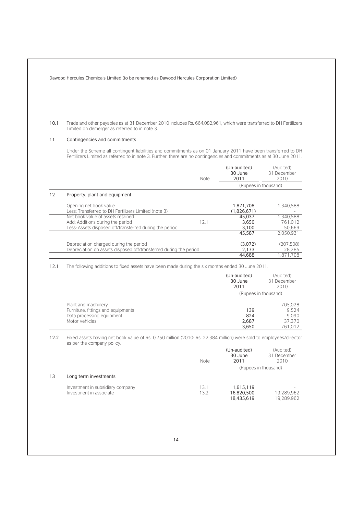10.1 Trade and other payables as at 31 December 2010 includes Rs. 664,082,961, which were transferred to DH Fertilizers Limited on demerger as referred to in note 3.

#### 11 Contingencies and commitments

Under the Scheme all contingent liabilities and commitments as on 01 January 2011 have been transferred to DH Fertilizers Limited as referred to in note 3. Further, there are no contingencies and commitments as at 30 June 2011.

|    |                                                                                                                                  | <b>Note</b> | (Un-audited)<br>30 June<br>2011 | (Audited)<br>31 December<br>2010 |
|----|----------------------------------------------------------------------------------------------------------------------------------|-------------|---------------------------------|----------------------------------|
|    |                                                                                                                                  |             | (Rupees in thousand)            |                                  |
| 12 | Property, plant and equipment                                                                                                    |             |                                 |                                  |
|    | Opening net book value<br>Less: Transferred to DH Fertilizers Limited (note 3)                                                   |             | 1,871,708<br>(1,826,671)        | 1.340.588                        |
|    | Net book value of assets retained<br>Add: Additions during the period<br>Less: Assets disposed off/transferred during the period | 12.1        | 45.037<br>3.650<br>3.100        | 1.340.588<br>761.012<br>50.669   |
|    |                                                                                                                                  |             | 45,587                          | 2.050.931                        |
|    | Depreciation charged during the period<br>Depreciation on assets disposed off/transferred during the period                      |             | (3.072)<br>2.173                | (207.508)<br>28.285              |
|    |                                                                                                                                  |             | 44.688                          | 1.871.708                        |

12.1 The following additions to fixed assets have been made during the six months ended 30 June 2011.

|                                    | (Un-audited)<br>30 June<br>2011 | (Audited)<br>31 December<br>2010 |  |
|------------------------------------|---------------------------------|----------------------------------|--|
|                                    |                                 | (Rupees in thousand)             |  |
| Plant and machinery                |                                 | 705.028                          |  |
| Furniture, fittings and equipments | 139                             | 9.524                            |  |
| Data processing equipment          | 824                             | 9.090                            |  |
| Motor vehicles                     | 2,687                           | 37.370                           |  |
|                                    | 3.650                           | 761.012                          |  |

12.2 Fixed assets having net book value of Rs. 0.750 million (2010: Rs. 22.384 million) were sold to employees/director as per the company policy.

|    |                                                             | <b>Note</b>  | (Un-audited)<br>30 June<br>2011       | (Audited)<br>31 December<br>2010 |
|----|-------------------------------------------------------------|--------------|---------------------------------------|----------------------------------|
|    |                                                             |              |                                       | (Rupees in thousand)             |
| 13 | Long term investments                                       |              |                                       |                                  |
|    | Investment in subsidiary company<br>Investment in associate | 13.1<br>13.2 | 1,615,119<br>16,820,500<br>18,435,619 | 19,289,962<br>19.289.962         |
|    |                                                             |              |                                       |                                  |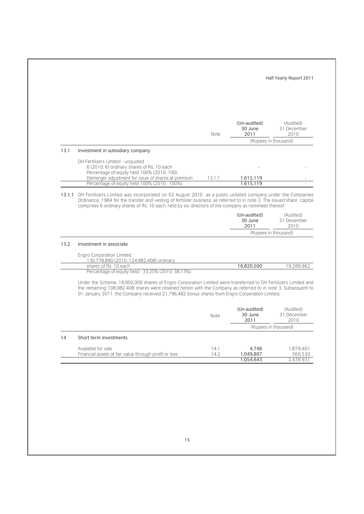|      |                                                                                                                                                                                                                                                                                                                                                       | Note   | (Un-audited)<br>30 June<br>2011 | (Audited)<br>31 December<br>2010                |
|------|-------------------------------------------------------------------------------------------------------------------------------------------------------------------------------------------------------------------------------------------------------------------------------------------------------------------------------------------------------|--------|---------------------------------|-------------------------------------------------|
|      |                                                                                                                                                                                                                                                                                                                                                       |        |                                 | (Rupees in thousand)                            |
| 13.1 | Investment in subsidiary company                                                                                                                                                                                                                                                                                                                      |        |                                 |                                                 |
|      | DH Fertilizers Limited - unquoted                                                                                                                                                                                                                                                                                                                     |        |                                 |                                                 |
|      | 6 (2010: 6) ordinary shares of Rs. 10 each<br>Percentage of equity held 100% (2010: 100)                                                                                                                                                                                                                                                              |        |                                 |                                                 |
|      | Demerger adjustment for issue of shares at premium                                                                                                                                                                                                                                                                                                    | 13.1.1 | 1,615,119                       |                                                 |
|      | Percentage of equity held 100% (2010: 100%)                                                                                                                                                                                                                                                                                                           |        | 1,615,119                       |                                                 |
|      | 13.1.1 DH Fertilizers Limited was incorporated on 02 August 2010 as a public unlisted company under the Companies<br>Ordinance, 1984 for the transfer and vesting of fertilizer business, as referred to in note 2. The issued share capital<br>comprises 6 ordinary shares of Rs. 10 each, held by six directors of the company as nominees thereof. |        | (Un-audited)                    | (Audited)                                       |
|      |                                                                                                                                                                                                                                                                                                                                                       |        | 30 June<br>2011                 | 31 December<br>2010                             |
|      |                                                                                                                                                                                                                                                                                                                                                       |        |                                 | (Rupees in thousand)                            |
| 13.2 | Investment in associate                                                                                                                                                                                                                                                                                                                               |        |                                 |                                                 |
|      |                                                                                                                                                                                                                                                                                                                                                       |        |                                 |                                                 |
|      | <b>Engro Corporation Limited</b><br>130,778,890 (2010: 124,982,408) ordinary                                                                                                                                                                                                                                                                          |        |                                 |                                                 |
|      |                                                                                                                                                                                                                                                                                                                                                       |        |                                 |                                                 |
|      | shares of Rs. 10 each                                                                                                                                                                                                                                                                                                                                 |        | 16,820,500                      |                                                 |
|      | Percentage of equity held - 33.25% (2010: 38.13%)                                                                                                                                                                                                                                                                                                     |        |                                 |                                                 |
|      | Under the Scheme, 16,000,000 shares of Engro Corporation Limited were transferred to DH Fertilizers Limited and<br>the remaining 108,982,408 shares were retained herein with the Company as referred to in note 3. Subsequent to<br>01 January 2011, the Company received 21,796,482 bonus shares from Engro Corporation Limited.                    |        |                                 |                                                 |
|      |                                                                                                                                                                                                                                                                                                                                                       | Note   | (Un-audited)<br>30 June<br>2011 | (Audited)<br>31 December<br>2010                |
|      |                                                                                                                                                                                                                                                                                                                                                       |        |                                 | (Rupees in thousand)                            |
| 14   | Short term investments                                                                                                                                                                                                                                                                                                                                |        |                                 |                                                 |
|      | Available for sale                                                                                                                                                                                                                                                                                                                                    | 14.1   | 4,746                           |                                                 |
|      | Financial assets at fair value through profit or loss                                                                                                                                                                                                                                                                                                 | 14.2   | 1,049,897<br>1,054,643          | 19,289,962<br>1,879,401<br>560,530<br>2,439,931 |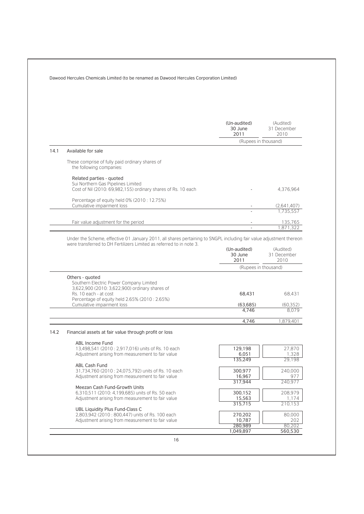|      |                                                                                                                                                                                             | (Un-audited)<br>30 June<br>2011 | (Audited)<br>31 December<br>2010 |
|------|---------------------------------------------------------------------------------------------------------------------------------------------------------------------------------------------|---------------------------------|----------------------------------|
|      |                                                                                                                                                                                             | (Rupees in thousand)            |                                  |
| 14.1 | Available for sale                                                                                                                                                                          |                                 |                                  |
|      | These comprise of fully paid ordinary shares of<br>the following companies:                                                                                                                 |                                 |                                  |
|      | Related parties - quoted<br>Sui Northern Gas Pipelines Limited<br>Cost of Nil (2010: 69,982,155) ordinary shares of Rs. 10 each                                                             |                                 | 4.376.964                        |
|      | Percentage of equity held 0% (2010: 12.75%)                                                                                                                                                 |                                 |                                  |
|      | Cumulative impairment loss                                                                                                                                                                  |                                 | (2.641.407)<br>1.735.557         |
|      |                                                                                                                                                                                             |                                 |                                  |
|      | Fair value adjustment for the period                                                                                                                                                        |                                 | 135,765<br>1,871,322             |
|      |                                                                                                                                                                                             |                                 |                                  |
|      | Under the Scheme, effective 01 January 2011, all shares pertaining to SNGPL including fair value adjustment thereon<br>were transferred to DH Fertilizers Limited as referred to in note 3. |                                 |                                  |
|      |                                                                                                                                                                                             | (Un-audited)<br>30 June<br>2011 | (Audited)<br>31 December<br>2010 |
|      |                                                                                                                                                                                             | (Rupees in thousand)            |                                  |
|      | Others - quoted                                                                                                                                                                             |                                 |                                  |
|      | Southern Electric Power Company Limited<br>3,622,900 (2010: 3,622,900) ordinary shares of                                                                                                   |                                 |                                  |
|      | Rs. 10 each - at cost                                                                                                                                                                       | 68,431                          | 68,431                           |
|      | Percentage of equity held 2.65% (2010: 2.65%)<br>Cumulative impairment loss                                                                                                                 | (63.685)                        | (60, 352)                        |
|      |                                                                                                                                                                                             | 4,746                           | 8.079                            |
|      |                                                                                                                                                                                             | 4,746                           | 1,879,401                        |
| 14.2 | Financial assets at fair value through profit or loss                                                                                                                                       |                                 |                                  |
|      | ABL Income Fund                                                                                                                                                                             |                                 |                                  |
|      | 13,498,541 (2010 : 2,917,016) units of Rs. 10 each                                                                                                                                          | 129,198                         | 27.870                           |
|      | Adjustment arising from measurement to fair value                                                                                                                                           | 6,051<br>135,249                | 1,328<br>29,198                  |
|      | ABL Cash Fund                                                                                                                                                                               |                                 |                                  |
|      | 31,734,760 (2010: 24,075,792) units of Rs. 10 each<br>Adjustment arising from measurement to fair value                                                                                     | 300,977<br>16,967               | 240,000<br>977                   |
|      |                                                                                                                                                                                             | 317,944                         | 240,977                          |
|      | Meezan Cash Fund-Growth Units<br>6,310,511 (2010: 4,199,685) units of Rs. 50 each                                                                                                           | 300,152                         | 208,979                          |
|      | Adjustment arising from measurement to fair value                                                                                                                                           | 15,563<br>315,715               | 1,174<br>210,153                 |
|      | UBL Liquidity Plus Fund-Class C                                                                                                                                                             |                                 |                                  |
|      | 2,803,942 (2010 : 800,447) units of Rs. 100 each                                                                                                                                            | 270,202                         | 80,000                           |
|      | Adjustment arising from measurement to fair value                                                                                                                                           | 10,787                          | 202                              |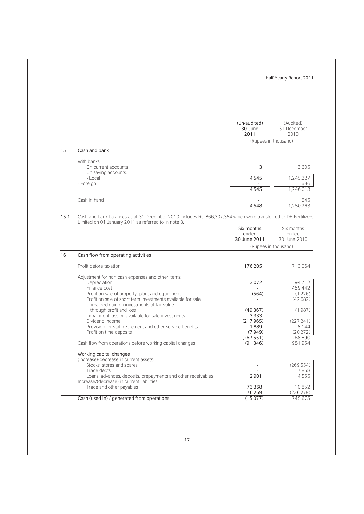|    |                                                                                                                                                                |                                     | Half Yearly Report 2011                                                                                                                                                                          |
|----|----------------------------------------------------------------------------------------------------------------------------------------------------------------|-------------------------------------|--------------------------------------------------------------------------------------------------------------------------------------------------------------------------------------------------|
|    |                                                                                                                                                                | (Un-audited)<br>30 June<br>2011     | (Audited)<br>31 December<br>2010                                                                                                                                                                 |
|    |                                                                                                                                                                |                                     | (Rupees in thousand)                                                                                                                                                                             |
| 15 | Cash and bank                                                                                                                                                  |                                     |                                                                                                                                                                                                  |
|    | With banks:<br>On current accounts<br>On saving accounts:                                                                                                      | 3                                   | 3,605                                                                                                                                                                                            |
|    | - Local<br>- Foreign                                                                                                                                           | 4,545<br>4,545                      | 1,245,327<br>686<br>1,246,013                                                                                                                                                                    |
|    |                                                                                                                                                                |                                     |                                                                                                                                                                                                  |
|    | Cash in hand                                                                                                                                                   | 4,548                               | 645<br>1,250,263                                                                                                                                                                                 |
|    |                                                                                                                                                                | Six months<br>ended<br>30 June 2011 | Six months<br>ended<br>(Rupees in thousand)                                                                                                                                                      |
| 16 | Cash flow from operating activities                                                                                                                            |                                     |                                                                                                                                                                                                  |
|    | Profit before taxation                                                                                                                                         | 176,205                             |                                                                                                                                                                                                  |
|    | Adjustment for non cash expenses and other items:<br>Depreciation<br>Finance cost                                                                              | 3,072                               |                                                                                                                                                                                                  |
|    | Profit on sale of property, plant and equipment<br>Profit on sale of short term investments available for sale<br>Unrealized gain on investments at fair value | (564)                               |                                                                                                                                                                                                  |
|    | through profit and loss<br>Impairment loss on available for sale investments<br>Dividend income                                                                | (49, 367)<br>3,333<br>(217, 965)    |                                                                                                                                                                                                  |
|    | Provision for staff retirement and other service benefits<br>Profit on time deposits                                                                           | 1,889<br>(7, 949)                   |                                                                                                                                                                                                  |
|    | Cash flow from operations before working capital changes                                                                                                       | (267, 551)<br>(91, 346)             |                                                                                                                                                                                                  |
|    | Working capital changes<br>(Increase)/decrease in current assets:                                                                                              |                                     |                                                                                                                                                                                                  |
|    | Stocks, stores and spares<br>Trade debts                                                                                                                       |                                     |                                                                                                                                                                                                  |
|    | Loans, advances, deposits, prepayments and other receivables<br>Increase/(decrease) in current liabilities:<br>Trade and other payables                        | 2,901                               |                                                                                                                                                                                                  |
|    |                                                                                                                                                                | 73,368<br>76,269                    | 30 June 2010<br>713,064<br>94,712<br>459,442<br>(1,226)<br>(42,682)<br>(1,987)<br>(227, 241)<br>8,144<br>(20.272)<br>268,890<br>981,954<br>(269, 554)<br>7,868<br>14,555<br>10,852<br>(236, 279) |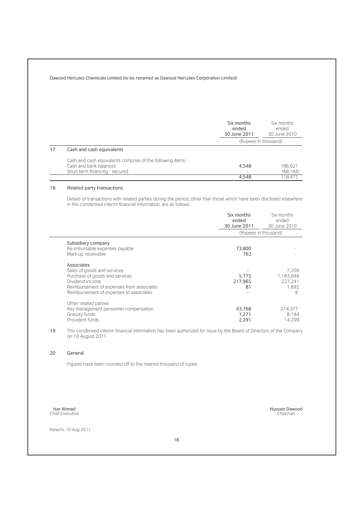|                                                            | Six months<br>ended<br>30 June 2011 | Six months<br>ended<br>30 June 2010 |
|------------------------------------------------------------|-------------------------------------|-------------------------------------|
|                                                            | (Rupees in thousand)                |                                     |
| Cash and cash equivalents                                  |                                     |                                     |
| Cash and cash equivalents comprise of the following items: |                                     |                                     |
| Cash and bank balances                                     | 4,548                               | 186.621                             |
| Short term financing - secured                             |                                     | (68.144)                            |
|                                                            | 4.548                               | 18.477                              |

#### 18 Related party transactions

Details of transactions with related parties during the period, other than those which have been disclosed elsewhere in this condensed interim financial information, are as follows:

|                                                                                                                                                                                        | Six months<br>ended<br>30 June 2011 | Six months<br>ended<br>30 June 2010         |
|----------------------------------------------------------------------------------------------------------------------------------------------------------------------------------------|-------------------------------------|---------------------------------------------|
|                                                                                                                                                                                        |                                     | (Rupees in thousand)                        |
| Subsidiary company<br>Re-imbursable expenses payable<br>Mark-up receivable                                                                                                             | 73,800<br>762                       |                                             |
| Associates<br>Sales of goods and services<br>Purchase of goods and services<br>Dividend income<br>Reimbursement of expenses from associates<br>Reimbursement of expenses to associates | 5,775<br>217,965<br>81              | 7.200<br>1,183,846<br>227.241<br>1.892<br>6 |
| Other related parties<br>Key management personnel compensation<br>Gratuity funds<br>Provident funds                                                                                    | 43,768<br>1,271<br>2.291            | 214.377<br>8.144<br>14.209                  |

19 This condensed interim financial information has been authorized for issue by the Board of Directors of the Company on 10 August 2011.

#### 20 General

Figures have been rounded off to the nearest thousand of rupee.

Isar Ahmad Chief Executive

Karachi: 10 Aug 2011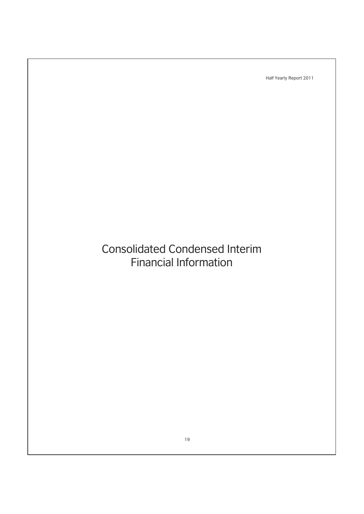# Consolidated Condensed Interim Financial Information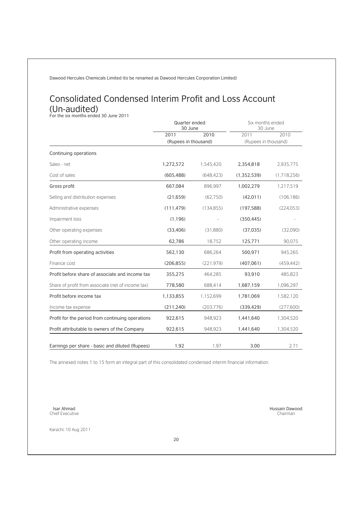## Consolidated Condensed Interim Profit and Loss Account (Un-audited)<br>For the six months ended 30 June 2011

|                                                    | Quarter ended<br>30 June |            | Six months ended<br>30 June |             |
|----------------------------------------------------|--------------------------|------------|-----------------------------|-------------|
|                                                    | 2011                     | 2010       | 2011                        | 2010        |
|                                                    | (Rupees in thousand)     |            | (Rupees in thousand)        |             |
| Continuing operations                              |                          |            |                             |             |
| Sales - net                                        | 1,272,572                | 1,545,420  | 2,354,818                   | 2,935,775   |
| Cost of sales                                      | (605, 488)               | (648, 423) | (1,352,539)                 | (1.718.256) |
| Gross profit                                       | 667,084                  | 896.997    | 1,002,279                   | 1.217.519   |
| Selling and distribution expenses                  | (21, 659)                | (62, 750)  | (42, 011)                   | (106, 186)  |
| Administrative expenses                            | (111, 479)               | (134, 855) | (197, 588)                  | (224, 053)  |
| Impairment loss                                    | (1, 196)                 |            | (350, 445)                  |             |
| Other operating expenses                           | (33, 406)                | (31,880)   | (37,035)                    | (32,090)    |
| Other operating income                             | 62,786                   | 18.752     | 125,771                     | 90.075      |
| Profit from operating activities                   | 562,130                  | 686,264    | 500,971                     | 945,265     |
| Finance cost                                       | (206, 855)               | (221, 979) | (407, 061)                  | (459.442)   |
| Profit before share of associate and income tax    | 355,275                  | 464.285    | 93,910                      | 485,823     |
| Share of profit from associate (net of income tax) | 778,580                  | 688,414    | 1,687,159                   | 1,096,297   |
| Profit before income tax                           | 1,133,855                | 1,152,699  | 1,781,069                   | 1,582,120   |
| Income tax expense                                 | (211, 240)               | (203, 776) | (339, 429)                  | (277,600)   |
| Profit for the period from continuing operations   | 922,615                  | 948,923    | 1,441,640                   | 1,304,520   |
| Profit attributable to owners of the Company       | 922,615                  | 948,923    | 1,441,640                   | 1,304,520   |
| Earnings per share - basic and diluted (Rupees)    | 1.92                     | 1.97       | 3.00                        | 2.71        |

The annexed notes 1 to 15 form an integral part of this consolidated condensed interim financial information.

20

Isar Ahmad Chief Executive

Karachi: 10 Aug 2011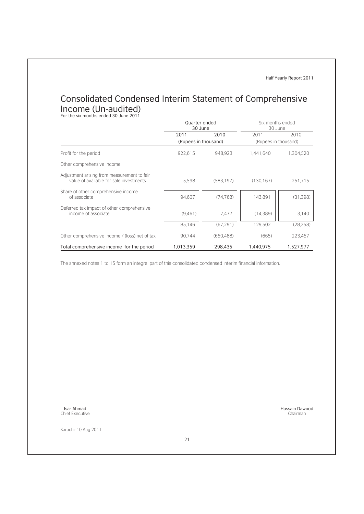## Consolidated Condensed Interim Statement of Comprehensive Income (Un-audited)<br>For the six months ended 30 June 2011

|                                                                                        |                      | Quarter ended<br>Six months ended<br>30 June<br>30 June |                      |           |
|----------------------------------------------------------------------------------------|----------------------|---------------------------------------------------------|----------------------|-----------|
|                                                                                        | 2011                 | 2010                                                    | 2011                 | 2010      |
|                                                                                        | (Rupees in thousand) |                                                         | (Rupees in thousand) |           |
| Profit for the period                                                                  | 922,615              | 948,923                                                 | 1.441.640            | 1,304,520 |
| Other comprehensive income                                                             |                      |                                                         |                      |           |
| Adjustment arising from measurement to fair<br>value of available-for-sale investments | 5,598                | (583, 197)                                              | (130.167)            | 251,715   |
| Share of other comprehensive income<br>of associate                                    | 94.607               | (74, 768)                                               | 143.891              | (31, 398) |
| Deferred tax impact of other comprehensive<br>income of associate                      | (9.461)              | 7.477                                                   | (14, 389)            | 3.140     |
|                                                                                        | 85.146               | (67.291)                                                | 129.502              | (28.258)  |
| Other comprehensive income / (loss) net of tax                                         | 90,744               | (650, 488)                                              | (665)                | 223,457   |
| Total comprehensive income for the period                                              | 1.013.359            | 298.435                                                 | 1.440.975            | 1,527,977 |

The annexed notes 1 to 15 form an integral part of this consolidated condensed interim financial information.

Isar Ahmad Chief Executive

Karachi: 10 Aug 2011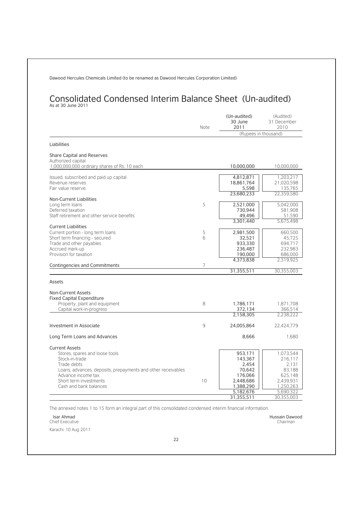## Consolidated Condensed Interim Balance Sheet (Un-audited) As at 30 June 2011

|                                                                    | <b>Note</b>    | (Un-audited)<br>30 June<br>2011 | (Audited)<br>31 December<br>2010 |
|--------------------------------------------------------------------|----------------|---------------------------------|----------------------------------|
|                                                                    |                | (Rupees in thousand)            |                                  |
| Liabilities                                                        |                |                                 |                                  |
| <b>Share Capital and Reserves</b>                                  |                |                                 |                                  |
| Authorized capital<br>1,000,000,000 ordinary shares of Rs. 10 each |                | 10,000,000                      | 10,000,000                       |
|                                                                    |                |                                 | 1.203.217                        |
| Issued, subscribed and paid up capital<br>Revenue reserves         |                | 4,812,871<br>18,861,764         | 21,020,598                       |
| Fair value reserve                                                 |                | 5,598                           | 135,765                          |
|                                                                    |                | 23,680,233                      | 22.359.580                       |
| <b>Non-Current Liabilities</b>                                     |                |                                 |                                  |
| Long term loans                                                    | 5              | 2,521,000                       | 5,042,000                        |
| Deferred taxation<br>Staff retirement and other service benefits   |                | 730,944                         | 581,908                          |
|                                                                    |                | 49,496<br>3,301,440             | 51.590<br>5.675.498              |
| <b>Current Liabilities</b>                                         |                |                                 |                                  |
| Current portion - long term loans                                  | 5              | 2,981,500                       | 660,500                          |
| Short term financing - secured                                     | 6              | 32,521                          | 45.725                           |
| Trade and other payables                                           |                | 933,330                         | 694.717                          |
| Accrued mark-up                                                    |                | 236,487                         | 232,983                          |
| Provision for taxation                                             |                | 190,000                         | 686,000                          |
| <b>Contingencies and Commitments</b>                               | $\overline{7}$ | 4,373,838                       | 2.319.925                        |
|                                                                    |                | 31,355,511                      | 30,355,003                       |
|                                                                    |                |                                 |                                  |
| Assets                                                             |                |                                 |                                  |
| <b>Non-Current Assets</b>                                          |                |                                 |                                  |
| <b>Fixed Capital Expenditure</b>                                   |                |                                 |                                  |
| Property, plant and equipment                                      | 8              | 1,786,171                       | 1.871.708                        |
| Capital work-in-progress                                           |                | 372,134                         | 366,514                          |
|                                                                    |                | 2.158.305                       | 2.238.222                        |
| Investment in Associate                                            | 9              | 24,005,864                      | 22.424.779                       |
| Long Term Loans and Advances                                       |                | 8,666                           | 1,680                            |
| <b>Current Assets</b>                                              |                |                                 |                                  |
| Stores, spares and loose tools                                     |                | 953,171                         | 1.073.544                        |
| Stock-in-trade                                                     |                | 143,367                         | 216.117                          |
| Trade debts                                                        |                | 2.454                           | 2.131                            |
| Loans, advances, deposits, prepayments and other receivables       |                | 70,642                          | 83,188                           |
| Advance income tax                                                 |                | 176,066                         | 625.148                          |
| Short term investments                                             | 10             | 2,448,686                       | 2,439,931                        |
| Cash and bank balances                                             |                | 1,388,290                       | 1,250,263                        |
|                                                                    |                | 5,182,676<br>31,355,511         | 5,690,322<br>30,355,003          |
|                                                                    |                |                                 |                                  |

The annexed notes 1 to 15 form an integral part of this consolidated condensed interim financial information.

Isar Ahmad Chief Executive

Karachi: 10 Aug 2011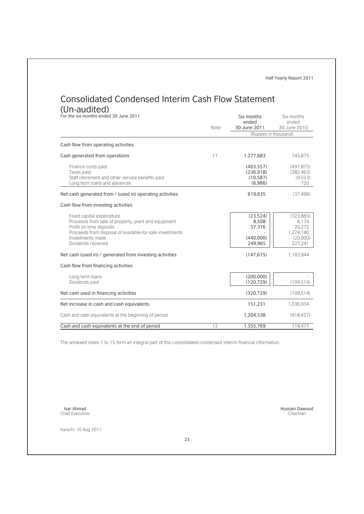# Consolidated Condensed Interim Cash Flow Statement

(Un-audited)<br>For the six months ended 30 June 2011

| For the six months ended 30 June 2011                                                                                                                                                                             | Note | Six months<br>ended<br>30 June 2011                 | Six months<br>ended<br>30 June 2010                               |  |
|-------------------------------------------------------------------------------------------------------------------------------------------------------------------------------------------------------------------|------|-----------------------------------------------------|-------------------------------------------------------------------|--|
|                                                                                                                                                                                                                   |      | (Rupees in thousand)                                |                                                                   |  |
| Cash flow from operating activities                                                                                                                                                                               |      |                                                     |                                                                   |  |
| Cash generated from operations                                                                                                                                                                                    | 11   | 1,277,683                                           | 745,675                                                           |  |
| Finance costs paid<br>Taxes paid<br>Staff retirement and other service benefits paid<br>Long term loans and advances                                                                                              |      | (403, 557)<br>(236.918)<br>(10, 587)<br>(6,986)     | (491.875)<br>(282.463)<br>(9,553)<br>720                          |  |
| Net cash generated from / (used in) operating activities                                                                                                                                                          |      | 619,635                                             | (37, 496)                                                         |  |
| Cash flow from investing activities                                                                                                                                                                               |      |                                                     |                                                                   |  |
| Fixed capital expenditure<br>Proceeds from sale of property, plant and equipment<br>Profit on time deposits<br>Proceeds from disposal of available-for-sale investments<br>Investments made<br>Dividends received |      | (23,524)<br>8,508<br>57,376<br>(440,000)<br>249,965 | (323, 883)<br>6.174<br>20.272<br>1.274.140<br>(20,000)<br>227,241 |  |
| Net cash (used in) / generated from investing activities                                                                                                                                                          |      | (147, 675)                                          | 1.183.944                                                         |  |
| Cash flow from financing activities                                                                                                                                                                               |      |                                                     |                                                                   |  |
| Long term loans<br>Dividends paid                                                                                                                                                                                 |      | (200,000)<br>(120, 729)                             | (109, 514)                                                        |  |
| Net cash used in financing activities                                                                                                                                                                             |      | (320, 729)                                          | (109.514)                                                         |  |
| Net increase in cash and cash equivalents                                                                                                                                                                         |      | 151,231                                             | 1.036.934                                                         |  |
| Cash and cash equivalents at the beginning of period                                                                                                                                                              |      | 1.204.538                                           | (918.457)                                                         |  |
| Cash and cash equivalents at the end of period                                                                                                                                                                    | 12   | 1,355,769                                           | 118,477                                                           |  |

The annexed notes 1 to 15 form an integral part of this consolidated condensed interim financial information.

Isar Ahmad Chief Executive

Hussain Dawood Chairman

Karachi: 10 Aug 2011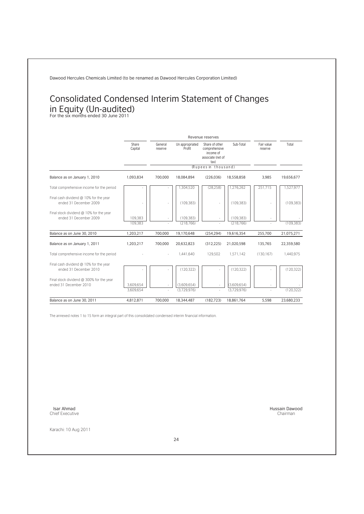## Consolidated Condensed Interim Statement of Changes in Equity (Un-audited) For the six months ended 30 June 2011

|                                                                    |                        | Revenue reserves   |                            |                                                                           |                            |                       |            |
|--------------------------------------------------------------------|------------------------|--------------------|----------------------------|---------------------------------------------------------------------------|----------------------------|-----------------------|------------|
|                                                                    | Share<br>Capital       | General<br>reserve | Un appropriated<br>Profit  | Share of other<br>comprehensive<br>income of<br>associate (net of<br>tax) | Sub-Total                  | Fair value<br>reserve | Total      |
|                                                                    |                        |                    |                            | (Rupees in thousand)                                                      |                            |                       |            |
| Balance as on January 1, 2010                                      | 1,093,834              | 700.000            | 18,084,894                 | (226.036)                                                                 | 18,558,858                 | 3.985                 | 19,656,677 |
| Total comprehensive income for the period                          |                        |                    | 1,304,520                  | (28.258)                                                                  | 1.276.262                  | 251.715               | 1.527.977  |
| Final cash dividend @ 10% for the year<br>ended 31 December 2009   |                        |                    | (109.383)                  |                                                                           | (109.383)                  |                       | (109.383)  |
| Final stock dividend @ 10% for the year<br>ended 31 December 2009  | 109.383<br>109.383     |                    | (109.383)<br>(218.766)     |                                                                           | (109.383)<br>(218.766)     |                       | (109, 383) |
| Balance as on June 30, 2010                                        | 1,203,217              | 700,000            | 19,170,648                 | (254, 294)                                                                | 19,616,354                 | 255,700               | 21,075,271 |
| Balance as on January 1, 2011                                      | 1,203,217              | 700,000            | 20,632,823                 | (312, 225)                                                                | 21,020,598                 | 135,765               | 22,359,580 |
| Total comprehensive income for the period                          |                        |                    | 1.441.640                  | 129,502                                                                   | 1,571,142                  | (130.167)             | 1,440,975  |
| Final cash dividend @ 10% for the year<br>ended 31 December 2010   |                        |                    | (120.322)                  |                                                                           | (120.322)                  |                       | (120.322)  |
| Final stock dividend @ 300% for the year<br>ended 31 December 2010 | 3,609,654<br>3.609.654 |                    | (3,609,654)<br>(3.729.976) | ÷.                                                                        | (3,609,654)<br>(3.729.976) |                       | (120.322)  |
| Balance as on June 30, 2011                                        | 4,812,871              | 700,000            | 18,344,487                 | (182, 723)                                                                | 18,861,764                 | 5.598                 | 23,680,233 |

The annexed notes 1 to 15 form an integral part of this consolidated condensed interim financial information.

Isar Ahmad Chief Executive

Karachi: 10 Aug 2011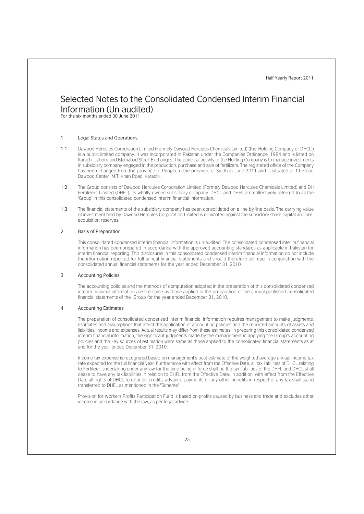### Selected Notes to the Consolidated Condensed Interim Financial Information (Un-audited)

For the six months ended 30 June 2011

#### 1 Legal Status and Operations

- 1.1 Dawood Hercules Corporation Limited (Formely Dawood Hercules Chemicals Limited) (the 'Holding Company or DHCL') is a public limited company. It was incorporated in Pakistan under the Companies Ordinance, 1984 and is listed on Karachi, Lahore and Islamabad Stock Exchanges. The principal activity of the Holding Company is to manage investments in subsidiary company engaged in the production, purchase and sale of fertilizers. The registered office of the Company has been changed from the province of Punjab to the province of Sindh in June 2011 and is situated at 11 Floor, Dawood Center, M.T. Khan Road, Karachi.
- 1.2 The Group consists of Dawood Hercules Corporation Limited (Formely Dawood Hercules Chemicals Limited) and DH Fertilizers Limited (DHFL), its wholly owned subsidiary company. DHCL and DHFL are collectively referred to as the 'Group' in this consolidated condensed interim financial information.
- 1.3 The financial statements of the subsidiary company has been consolidated on a line by line basis. The carrying value of investment held by Dawood Hercules Corporation Limited is eliminated against the subsidiary share capital and preacquisition reserves.

#### 2 Basis of Preparation

This consolidated condensed interim financial information is un-audited. The consolidated condensed interim financial information has been prepared in accordance with the approved accounting standards as applicable in Pakistan for interim financial reporting. This disclosures in this consolidated condensed interim financial information do not include the information reported for full annual financial statements and should therefore be read in conjunction with the consolidated annual financial statements for the year ended December 31, 2010.

#### 3 Accounting Policies

The accounting policies and the methods of computation adopted in the preparation of this consolidated condensed interim financial information are the same as those applied in the preparation of the annual published consolidated financial statements of the Group for the year ended December 31, 2010.

#### 4 Accounting Estimates

The preparation of consolidated condensed interim financial information requires management to make judgments, estimates and assumptions that affect the application of accounting policies and the reported amounts of assets and liabilities, income and expenses. Actual results may differ from these estimates. In preparing this consolidated condensed interim financial information, the significant judgments made by the management in applying the Group's accounting policies and the key sources of estimation were same as those applied to the consolidated financial statements as at and for the year ended December 31, 2010.

Income tax expense is recognized based on management's best estimate of the weighted average annual income tax rate expected for the full financial year. Furthermore with effect from the Effective Date, all tax liabilities of DHCL relating to Fertilizer Undertaking under any law for the time being in force shall be the tax liabilities of the DHFL and DHCL shall cease to have any tax liabilities in relation to DHFL from the Effective Date. In addition, with effect from the Effective Date all rights of DHCL to refunds, credits, advance payments or any other benefits in respect of any tax shall stand transferred to DHFL as mentioned in the "Scheme"

Provision for Workers Profits Participation Fund is based on profits caused by business and trade and excludes other income in accordance with the law, as per legal advice.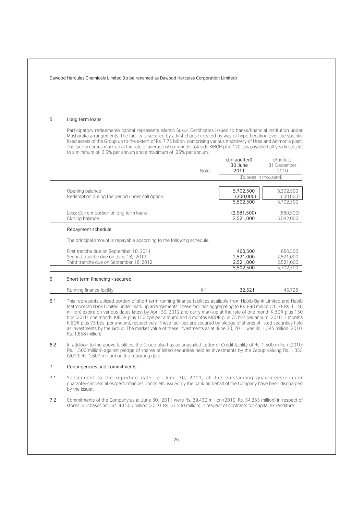| 5   | Long term loans                                                                                                                                                                                                                                                                                                                                                                                                                                                                                                                                                                                                                                                                                                                                               |      |                                                                                                                     |                                     |
|-----|---------------------------------------------------------------------------------------------------------------------------------------------------------------------------------------------------------------------------------------------------------------------------------------------------------------------------------------------------------------------------------------------------------------------------------------------------------------------------------------------------------------------------------------------------------------------------------------------------------------------------------------------------------------------------------------------------------------------------------------------------------------|------|---------------------------------------------------------------------------------------------------------------------|-------------------------------------|
|     | Participatory redeemable capital represents Islamic Sukuk Certificates issued to banks/financial institution under<br>Musharaka arrangements. The facility is secured by a first charge created by way of hypothecation over the specific<br>fixed assets of the Group up to the extent of Rs. 7.72 billion, comprising various machinery of Urea and Ammonia plant.<br>The facility carries mark-up at the rate of average of six months ask side KIBOR plus 120 bps payable half yearly subject<br>to a minimum of 3.5% per annum and a maximum of 25% per annum.                                                                                                                                                                                           |      |                                                                                                                     |                                     |
|     |                                                                                                                                                                                                                                                                                                                                                                                                                                                                                                                                                                                                                                                                                                                                                               | Note | (Un-audited)<br>30 June<br>2011                                                                                     | (Audited)<br>31 December<br>2010    |
|     |                                                                                                                                                                                                                                                                                                                                                                                                                                                                                                                                                                                                                                                                                                                                                               |      | (Rupees in thousand)                                                                                                |                                     |
|     | Opening balance<br>Redemption during the period under call option                                                                                                                                                                                                                                                                                                                                                                                                                                                                                                                                                                                                                                                                                             |      | 5,702,500<br>(200,000)<br>5,502,500                                                                                 | 6,302,500<br>(600,000)<br>5,702,500 |
|     | Less: Current portion of long term loans<br>Closing balance                                                                                                                                                                                                                                                                                                                                                                                                                                                                                                                                                                                                                                                                                                   |      | (2,981,500)<br>2,521,000                                                                                            | (660, 500)<br>5,042,000             |
|     | Repayment schedule                                                                                                                                                                                                                                                                                                                                                                                                                                                                                                                                                                                                                                                                                                                                            |      |                                                                                                                     |                                     |
|     | The principal amount is repayable according to the following schedule:                                                                                                                                                                                                                                                                                                                                                                                                                                                                                                                                                                                                                                                                                        |      |                                                                                                                     |                                     |
|     | First tranche due on September 18, 2011<br>Second tranche due on June 18, 2012<br>Third tranche due on September 18, 2012                                                                                                                                                                                                                                                                                                                                                                                                                                                                                                                                                                                                                                     |      | 460,500<br>2,521,000<br>2,521,000                                                                                   | 660,500<br>2,521,000<br>2,521,000   |
|     |                                                                                                                                                                                                                                                                                                                                                                                                                                                                                                                                                                                                                                                                                                                                                               |      | 5,502,500                                                                                                           | 5,702,500                           |
| 6   | Short term financing - secured                                                                                                                                                                                                                                                                                                                                                                                                                                                                                                                                                                                                                                                                                                                                |      |                                                                                                                     |                                     |
|     | Running finance facility                                                                                                                                                                                                                                                                                                                                                                                                                                                                                                                                                                                                                                                                                                                                      | 6.1  | 32,521                                                                                                              | 45.725                              |
| 6.1 | This represents utilized portion of short term running finance facilities available from Habib Bank Limited and Habib<br>Metropolitan Bank Limited under mark-up arrangements. These facilities aggregating to Rs. 898 million (2010: Rs. 1,148<br>million) expire on various dates latest by April 30, 2012 and carry mark-up at the rate of one month KIBOR plus 150<br>bps (2010: one month KIBOR plus 150 bps per annum) and 3 months KIBOR plus 75 bps per annum (2010: 3 months<br>KIBOR plus 75 bps per annum), respectively. These facilities are secured by pledge of shares of listed securities held<br>as investments by the Group. The market value of these investments as at June 30, 2011 was Rs. 1,345 million (2010:<br>Rs. 1.658 million). |      |                                                                                                                     |                                     |
| 6.2 | In addition to the above facilities, the Group also has an unavailed Letter of Credit facility of Rs. 1,500 million (2010:<br>Rs. 1,500 million) against pledge of shares of listed securities held as investments by the Group valuing Rs. 1,355<br>(2010: Rs. 1,607 million) on the reporting date.                                                                                                                                                                                                                                                                                                                                                                                                                                                         |      |                                                                                                                     |                                     |
| 7   | Contingencies and commitments                                                                                                                                                                                                                                                                                                                                                                                                                                                                                                                                                                                                                                                                                                                                 |      |                                                                                                                     |                                     |
| 7.1 | Subsequent to the reporting date i.e. June 30, 2011, all the outstanding quarantees/counter<br>quarantees/indemnities/performances bonds etc. issued by the bank on behalf of the Company have been discharged<br>by the issuer.                                                                                                                                                                                                                                                                                                                                                                                                                                                                                                                              |      |                                                                                                                     |                                     |
| 7.2 | Commitments of the Company as at June 30, 2011 were Rs. 39.430 million (2010: Rs. 54.355 million) in respect of                                                                                                                                                                                                                                                                                                                                                                                                                                                                                                                                                                                                                                               |      | stores purchases and Rs. 40.500 million (2010: Rs. 57.500 million) in respect of contracts for capital expenditure. |                                     |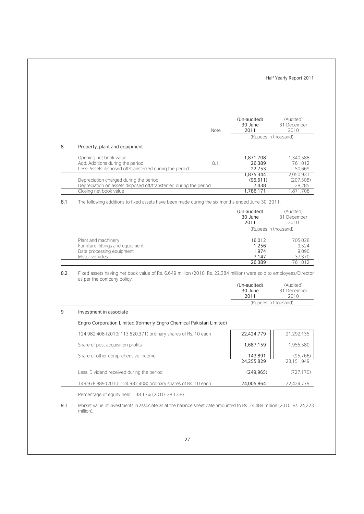|   |                                                                                                                       | <b>Note</b> | (Un-audited)<br>30 June<br>2011 | (Audited)<br>31 December<br>2010  |
|---|-----------------------------------------------------------------------------------------------------------------------|-------------|---------------------------------|-----------------------------------|
|   |                                                                                                                       |             | (Rupees in thousand)            |                                   |
| 8 | Property, plant and equipment                                                                                         |             |                                 |                                   |
|   | Opening net book value<br>Add: Additions during the period<br>Less: Assets disposed off/transferred during the period | 8.1         | 1,871,708<br>26.389<br>22.753   | 1.340.588<br>761.012<br>50.669    |
|   | Depreciation charged during the period<br>Depreciation on assets disposed off/transferred during the period           |             | 1,875,344<br>(96.611)<br>7.438  | 2,050,931<br>(207, 508)<br>28,285 |
|   | Closing net book value                                                                                                |             | 1.786.171                       | .871.708                          |

8.1 The following additions to fixed assets have been made during the six months ended June 30, 2011.

|                                                                                                         | (Un-audited)<br>30 June<br>2011   | (Audited)<br>31 December<br>2010    |  |
|---------------------------------------------------------------------------------------------------------|-----------------------------------|-------------------------------------|--|
|                                                                                                         | (Rupees in thousand)              |                                     |  |
| Plant and machinery<br>Furniture, fittings and equipment<br>Data processing equipment<br>Motor vehicles | 16.012<br>1.256<br>1.974<br>7.147 | 705,028<br>9.524<br>9.090<br>37,370 |  |
|                                                                                                         | 26.389                            | 761.012                             |  |

8.2 Fixed assets having net book value of Rs. 6.649 million (2010: Rs. 22.384 million) were sold to employees/Director as per the company policy.

| (Un-audited)<br>30 June<br>2011 | (Audited)<br>31 December<br>2010 |
|---------------------------------|----------------------------------|
|                                 |                                  |
| (Rupees in thousand)            |                                  |

#### 9 Investment in associate

#### Engro Corporation Limited (formerly Engro Chemical Pakistan Limited)

| 124,982,408 (2010: 113,620,371) ordinary shares of Rs. 10 each | 22,424,779 | 21,292,135 |
|----------------------------------------------------------------|------------|------------|
| Share of post acquisition profits                              | 1,687,159  | 1,955,580  |
| Share of other comprehensive income                            | 143,891    | (95,766)   |
|                                                                | 24,255,829 | 23,151,949 |
| Less: Dividend received during the period                      | (249.965)  | (727.170)  |
| 149,978,889 (2010: 124,982,408) ordinary shares of Rs. 10 each | 24,005,864 | 22.424.779 |
|                                                                |            |            |

Percentage of equity held - 38.13% (2010: 38.13%)

9.1 Market value of investments in associate as at the balance sheet date amounted to Rs. 24,484 million (2010: Rs. 24,223 million).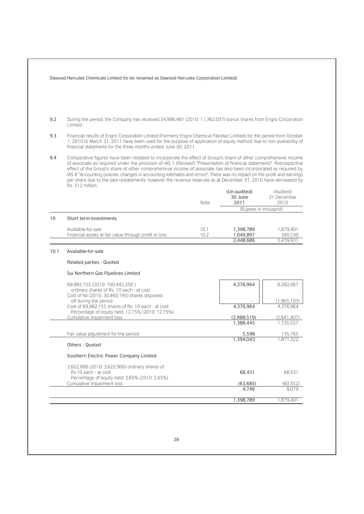|      | Dawood Hercules Chemicals Limited (to be renamed as Dawood Hercules Corporation Limited)                                                                                                                                                                                                                       |                                                                                                                                                                                                                                                                                                                                                                                                                                                                                                                                                                                                           |                                     |                                   |
|------|----------------------------------------------------------------------------------------------------------------------------------------------------------------------------------------------------------------------------------------------------------------------------------------------------------------|-----------------------------------------------------------------------------------------------------------------------------------------------------------------------------------------------------------------------------------------------------------------------------------------------------------------------------------------------------------------------------------------------------------------------------------------------------------------------------------------------------------------------------------------------------------------------------------------------------------|-------------------------------------|-----------------------------------|
| 9.2  | During the period, the Company has received 24,996,481 (2010: 11,362,037) bonus shares from Engro Corporation<br>Limited.                                                                                                                                                                                      |                                                                                                                                                                                                                                                                                                                                                                                                                                                                                                                                                                                                           |                                     |                                   |
| 9.3  | Financial results of Engro Corporation Limited (Formerly Engro Chemical Pakistan Limited) for the period from October<br>1, 2010 to March 31, 2011 have been used for the purpose of application of equity method due to non availability of<br>financial statements for the three months ended June 30, 2011. |                                                                                                                                                                                                                                                                                                                                                                                                                                                                                                                                                                                                           |                                     |                                   |
| 9.4  | Rs. 312 million.                                                                                                                                                                                                                                                                                               | Comparative figures have been restated to incorporate the effect of Group's share of other comprehensive income<br>of associate as required under the provision of IAS 1 (Revised) "Presentation of financial statements". Retrospective<br>effect of the Group's share of other comprehensive income of associate has also been incorporated as required by<br>IAS 8 "Accounting policies, changes in accounting estimates and errors". There was no impact on the profit and earnings<br>per share due to the said restatements, however the revenue reserves as at December 31, 2010 have decreased by |                                     |                                   |
|      |                                                                                                                                                                                                                                                                                                                | Note                                                                                                                                                                                                                                                                                                                                                                                                                                                                                                                                                                                                      | (Un-audited)<br>30 June<br>2011     | (Audited)<br>31 December<br>2010  |
|      |                                                                                                                                                                                                                                                                                                                |                                                                                                                                                                                                                                                                                                                                                                                                                                                                                                                                                                                                           | (Rupees in thousand)                |                                   |
| 10   | Short term investments                                                                                                                                                                                                                                                                                         |                                                                                                                                                                                                                                                                                                                                                                                                                                                                                                                                                                                                           |                                     |                                   |
|      | Available-for-sale<br>Financial assets at fair value through profit or loss                                                                                                                                                                                                                                    | 10.1<br>10.2                                                                                                                                                                                                                                                                                                                                                                                                                                                                                                                                                                                              | 1,398,789<br>1,049,897<br>2,448,686 | 1,879,401<br>560,530<br>2,439,931 |
| 10.1 | Available-for-sale                                                                                                                                                                                                                                                                                             |                                                                                                                                                                                                                                                                                                                                                                                                                                                                                                                                                                                                           |                                     |                                   |
|      | <b>Related parties - Quoted</b>                                                                                                                                                                                                                                                                                |                                                                                                                                                                                                                                                                                                                                                                                                                                                                                                                                                                                                           |                                     |                                   |
|      |                                                                                                                                                                                                                                                                                                                |                                                                                                                                                                                                                                                                                                                                                                                                                                                                                                                                                                                                           |                                     |                                   |
|      | Sui Northern Gas Pipelines Limited                                                                                                                                                                                                                                                                             |                                                                                                                                                                                                                                                                                                                                                                                                                                                                                                                                                                                                           |                                     |                                   |
|      | 69,982,155 (2010: 100,442,350)<br>ordinary shares of Rs. 10 each - at cost<br>Cost of Nil (2010: 30,460,195) shares disposed                                                                                                                                                                                   |                                                                                                                                                                                                                                                                                                                                                                                                                                                                                                                                                                                                           | 4,376,964                           | 6.282.067                         |
|      | off during the period                                                                                                                                                                                                                                                                                          |                                                                                                                                                                                                                                                                                                                                                                                                                                                                                                                                                                                                           |                                     | (1,905,103)                       |
|      | Cost of 69,982,155 shares of Rs. 10 each - at cost<br>Percentage of equity held: 12.75% (2010: 12.75%)                                                                                                                                                                                                         |                                                                                                                                                                                                                                                                                                                                                                                                                                                                                                                                                                                                           | 4,376,964                           | 4.376.964                         |
|      | Cumulative impairment loss                                                                                                                                                                                                                                                                                     |                                                                                                                                                                                                                                                                                                                                                                                                                                                                                                                                                                                                           | (2,988,519)                         | (2,641,407)                       |
|      |                                                                                                                                                                                                                                                                                                                |                                                                                                                                                                                                                                                                                                                                                                                                                                                                                                                                                                                                           | 1,388,445                           | 1.735.557                         |
|      | Fair value adjustment for the period                                                                                                                                                                                                                                                                           |                                                                                                                                                                                                                                                                                                                                                                                                                                                                                                                                                                                                           | 5,598                               | 35,765                            |
|      | Others - Quoted                                                                                                                                                                                                                                                                                                |                                                                                                                                                                                                                                                                                                                                                                                                                                                                                                                                                                                                           | 1,394,043                           | .871.322                          |
|      | Southern Electric Power Company Limited                                                                                                                                                                                                                                                                        |                                                                                                                                                                                                                                                                                                                                                                                                                                                                                                                                                                                                           |                                     |                                   |
|      | 3,622,900 (2010: 3,622,900) ordinary shares of                                                                                                                                                                                                                                                                 |                                                                                                                                                                                                                                                                                                                                                                                                                                                                                                                                                                                                           |                                     |                                   |
|      | Rs.10 each - at cost                                                                                                                                                                                                                                                                                           |                                                                                                                                                                                                                                                                                                                                                                                                                                                                                                                                                                                                           | 68,431                              | 68,431                            |
|      | Percentage of equity held: 2.65% (2010: 2.65%)                                                                                                                                                                                                                                                                 |                                                                                                                                                                                                                                                                                                                                                                                                                                                                                                                                                                                                           |                                     |                                   |
|      | Cumulative Impairment loss                                                                                                                                                                                                                                                                                     |                                                                                                                                                                                                                                                                                                                                                                                                                                                                                                                                                                                                           | (63, 685)<br>4,746                  | (60, 352)<br>8.079                |
|      |                                                                                                                                                                                                                                                                                                                |                                                                                                                                                                                                                                                                                                                                                                                                                                                                                                                                                                                                           |                                     |                                   |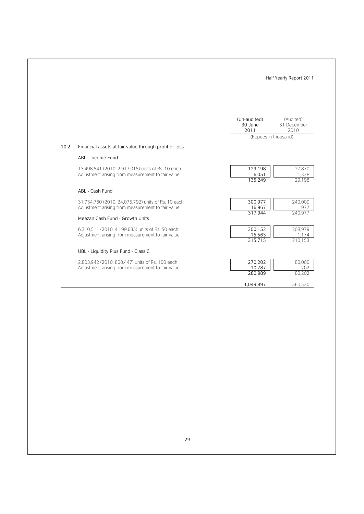|      |                                                                                                         | Half Yearly Report 2011         |                                  |
|------|---------------------------------------------------------------------------------------------------------|---------------------------------|----------------------------------|
|      |                                                                                                         | (Un-audited)<br>30 June<br>2011 | (Audited)<br>31 December<br>2010 |
|      |                                                                                                         | (Rupees in thousand)            |                                  |
| 10.2 | Financial assets at fair value through profit or loss                                                   |                                 |                                  |
|      | ABL - Income Fund                                                                                       |                                 |                                  |
|      | 13,498,541 (2010: 2,917,015) units of Rs. 10 each<br>Adjustment arising from measurement to fair value  | 129,198<br>6,051<br>135,249     | 27,870<br>1,328<br>29.198        |
|      | ABL - Cash Fund                                                                                         |                                 |                                  |
|      | 31,734,760 (2010: 24,075,792) units of Rs. 10 each<br>Adjustment arising from measurement to fair value | 300,977<br>16,967<br>317,944    | 240,000<br>977<br>240.977        |
|      | Meezan Cash Fund - Growth Units                                                                         |                                 |                                  |
|      | 6.310.511 (2010: 4.199.685) units of Rs. 50 each<br>Adjustment arising from measurement to fair value   | 300,152<br>15,563<br>315,715    | 208,979<br>1.174<br>210.153      |
|      | UBL - Liquidity Plus Fund - Class C                                                                     |                                 |                                  |
|      | 2.803.942 (2010: 800.447) units of Rs. 100 each<br>Adjustment arising from measurement to fair value    | 270,202<br>10.787<br>280,989    | 80,000<br>202<br>80.202          |
|      |                                                                                                         | 1,049,897                       | 560,530                          |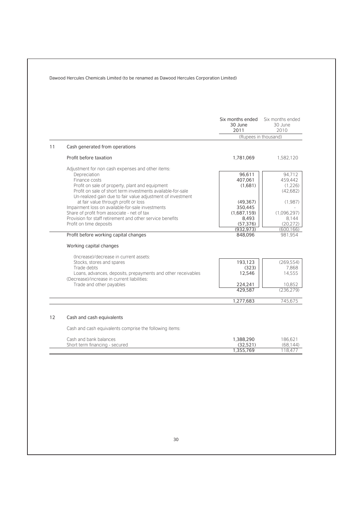|                   |                                                                                                                                                                                                                                                                                                                                                                                                                                                                              | Six months ended<br>30 June<br>2011                                          | Six months ended<br>30 June<br>2010                                         |
|-------------------|------------------------------------------------------------------------------------------------------------------------------------------------------------------------------------------------------------------------------------------------------------------------------------------------------------------------------------------------------------------------------------------------------------------------------------------------------------------------------|------------------------------------------------------------------------------|-----------------------------------------------------------------------------|
|                   |                                                                                                                                                                                                                                                                                                                                                                                                                                                                              | (Rupees in thousand)                                                         |                                                                             |
| 11                | Cash generated from operations                                                                                                                                                                                                                                                                                                                                                                                                                                               |                                                                              |                                                                             |
|                   | Profit before taxation                                                                                                                                                                                                                                                                                                                                                                                                                                                       | 1,781,069                                                                    | 1.582.120                                                                   |
|                   | Adjustment for non cash expenses and other items:<br>Depreciation<br>Finance costs<br>Profit on sale of property, plant and equipment<br>Profit on sale of short term investments available-for-sale<br>Un-realized gain due to fair value adjustment of investment<br>at fair value through profit or loss<br>Impairment loss on available-for-sale investments<br>Share of profit from associate - net of tax<br>Provision for staff retirement and other service benefits | 96,611<br>407,061<br>(1,681)<br>(49, 367)<br>350,445<br>(1,687,159)<br>8,493 | 94.712<br>459,442<br>(1.226)<br>(42,682)<br>(1.987)<br>(1.096.297)<br>8.144 |
|                   | Profit on time deposits<br>Profit before working capital changes                                                                                                                                                                                                                                                                                                                                                                                                             | (57, 376)<br>(932.973)<br>848,096                                            | (20.272)<br>(600.166)<br>981,954                                            |
|                   | Working capital changes<br>(Increase)/decrease in current assets:                                                                                                                                                                                                                                                                                                                                                                                                            |                                                                              |                                                                             |
|                   | Stocks, stores and spares<br>Trade debts<br>Loans, advances, deposits, prepayments and other receivables<br>(Decrease)/increase in current liabilities:                                                                                                                                                                                                                                                                                                                      | 193,123<br>(323)<br>12,546                                                   | (269, 554)<br>7,868<br>14,555                                               |
|                   | Trade and other payables                                                                                                                                                                                                                                                                                                                                                                                                                                                     | 224,241                                                                      | 10,852                                                                      |
|                   |                                                                                                                                                                                                                                                                                                                                                                                                                                                                              | 429,587                                                                      | (236.279)                                                                   |
|                   |                                                                                                                                                                                                                                                                                                                                                                                                                                                                              | 1,277,683                                                                    | 745,675                                                                     |
| $12 \overline{ }$ | Cash and cash equivalents                                                                                                                                                                                                                                                                                                                                                                                                                                                    |                                                                              |                                                                             |
|                   | Cash and cash equivalents comprise the following items:                                                                                                                                                                                                                                                                                                                                                                                                                      |                                                                              |                                                                             |
|                   | Cash and bank balances<br>Short term financing - secured                                                                                                                                                                                                                                                                                                                                                                                                                     | 1,388,290<br>(32, 521)                                                       | 186,621<br>(68.144)                                                         |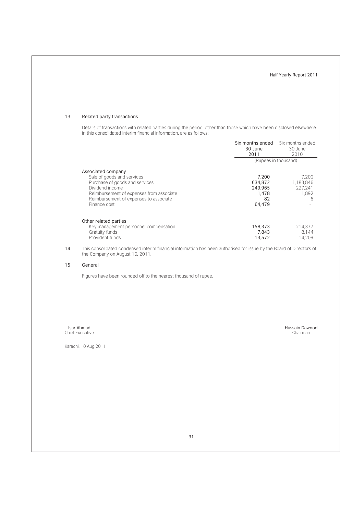#### 13 Related party transactions

Details of transactions with related parties during the period, other than those which have been disclosed elsewhere in this consolidated interim financial information, are as follows:

|                                                                                                                                                                                                             | 30 June<br>2011                                      | Six months ended Six months ended<br>30 June<br>2010 |
|-------------------------------------------------------------------------------------------------------------------------------------------------------------------------------------------------------------|------------------------------------------------------|------------------------------------------------------|
|                                                                                                                                                                                                             | (Rupees in thousand)                                 |                                                      |
| Associated company<br>Sale of goods and services<br>Purchase of goods and services<br>Dividend income<br>Reimbursement of expenses from associate<br>Reimbursement of expenses to associate<br>Finance cost | 7,200<br>634.872<br>249.965<br>1.478<br>82<br>64.479 | 7.200<br>1.183.846<br>227.241<br>1.892<br>6          |
| Other related parties<br>Key management personnel compensation<br>Gratuity funds<br>Provident funds                                                                                                         | 158,373<br>7.843<br>13,572                           | 214.377<br>8.144<br>14.209                           |

14 This consolidated condensed interim financial information has been authorised for issue by the Board of Directors of the Company on August 10, 2011.

#### 15 General

Figures have been rounded off to the nearest thousand of rupee.

Isar Ahmad Chief Executive

Karachi: 10 Aug 2011